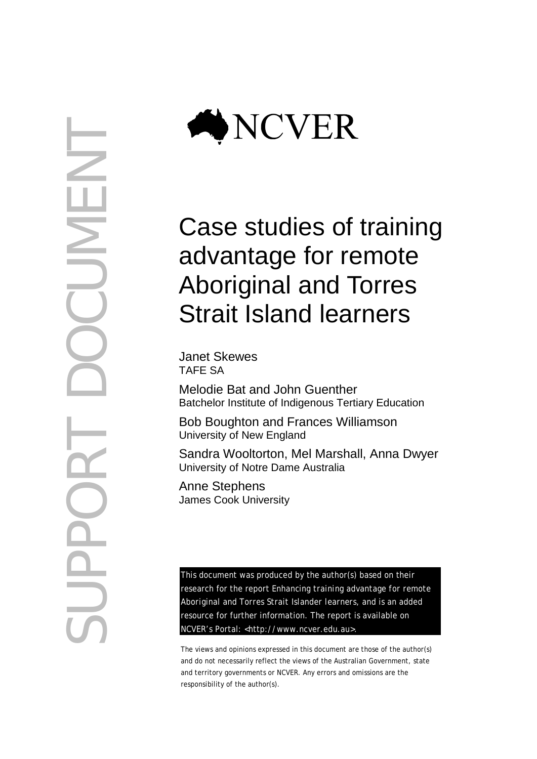

# Case studies of training advantage for remote Aboriginal and Torres Strait Island learners

Janet Skewes TAFE SA

Melodie Bat and John Guenther Batchelor Institute of Indigenous Tertiary Education

Bob Boughton and Frances Williamson University of New England

Sandra Wooltorton, Mel Marshall, Anna Dwyer University of Notre Dame Australia

Anne Stephens James Cook University

This document was produced by the author(s) based on their research for the report *Enhancing training advantage for remote Aboriginal and Torres Strait Islander learners*, and is an added resource for further information. The report is available on NCVER's Portal: [<http://www.ncver.edu.au>](http://www.ncver.edu.au/).

The views and opinions expressed in this document are those of the author(s) and do not necessarily reflect the views of the Australian Government, state and territory governments or NCVER. Any errors and omissions are the responsibility of the author(s).

SUPPORT DOCUMENT CUNE  $\bigcirc$ NO DO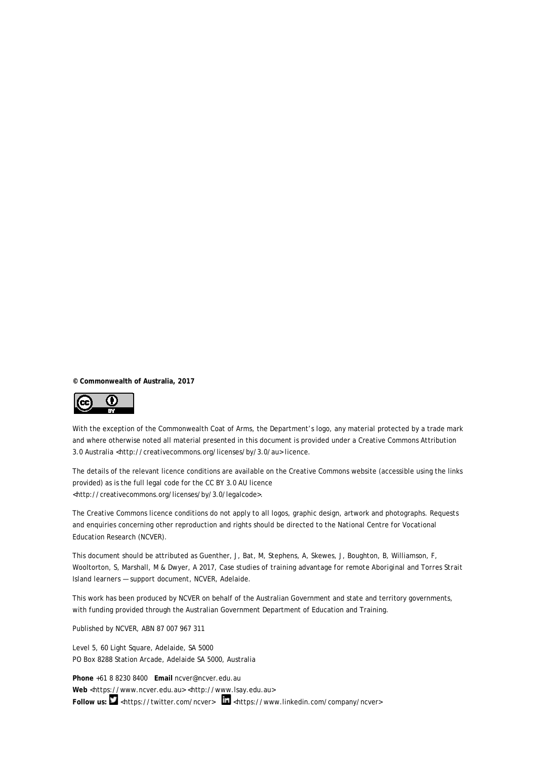**© Commonwealth of Australia, 2017**



With the exception of the Commonwealth Coat of Arms, the Department's logo, any material protected by a trade mark and where otherwise noted all material presented in this document is provided under a Creative Commons Attribution 3.0 Australia <http://creativecommons.org/licenses/by/3.0/au> licence.

The details of the relevant licence conditions are available on the Creative Commons website (accessible using the links provided) as is the full legal code for the CC BY 3.0 AU licence <http://creativecommons.org/licenses/by/3.0/legalcode>.

The Creative Commons licence conditions do not apply to all logos, graphic design, artwork and photographs. Requests and enquiries concerning other reproduction and rights should be directed to the National Centre for Vocational Education Research (NCVER).

This document should be attributed as Guenther, J, Bat, M, Stephens, A, Skewes, J, Boughton, B, Williamson, F, Wooltorton, S, Marshall, M & Dwyer, A 2017, *Case studies of training advantage for remote Aboriginal and Torres Strait Island learners — support document,* NCVER, Adelaide.

This work has been produced by NCVER on behalf of the Australian Government and state and territory governments, with funding provided through the Australian Government Department of Education and Training.

Published by NCVER, ABN 87 007 967 311

Level 5, 60 Light Square, Adelaide, SA 5000 PO Box 8288 Station Arcade, Adelaide SA 5000, Australia

**Phone** +61 8 8230 8400 **Email** [ncver@ncver.edu.au](mailto:ncver@ncver.edu.au)  **Web** <https://www.ncver.edu.au> [<http://www.lsay.edu.au>](http://www.lsay.edu.au/) Follow us: **M** [<https://twitter.com/ncver>](https://twitter.com/ncver)  $\frac{1}{\ln}$  <https://www.linkedin.com/company/ncver>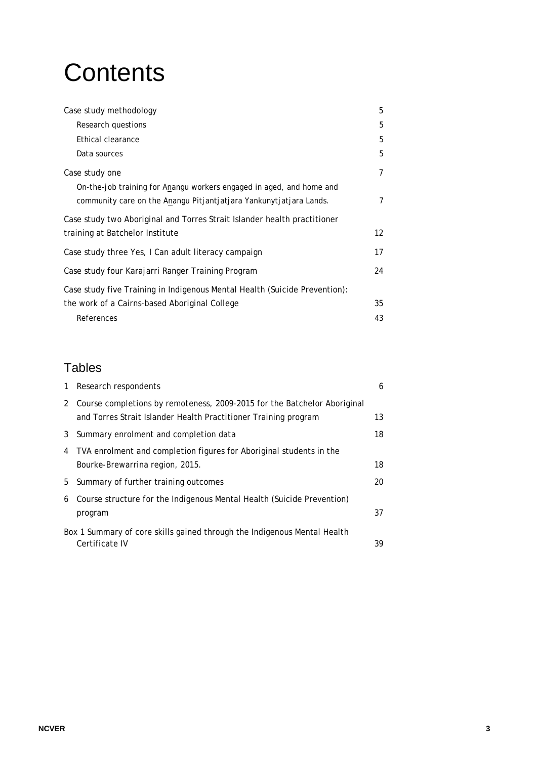# **Contents**

| Case study methodology                                                     | 5              |
|----------------------------------------------------------------------------|----------------|
| Research questions                                                         | 5              |
| Ethical clearance                                                          | 5              |
| Data sources                                                               | 5              |
| Case study one                                                             | $\overline{7}$ |
| On-the-job training for Anangu workers engaged in aged, and home and       |                |
| community care on the Anangu Pitjantjatjara Yankunytjatjara Lands.         | 7              |
| Case study two Aboriginal and Torres Strait Islander health practitioner   |                |
| training at Batchelor Institute                                            | 12             |
| Case study three Yes, I Can adult literacy campaign                        | 17             |
| Case study four Karajarri Ranger Training Program                          | 24             |
| Case study five Training in Indigenous Mental Health (Suicide Prevention): |                |
| the work of a Cairns-based Aboriginal College                              | 35             |
| References                                                                 | 43             |

# Tables

| 1 | Research respondents                                                                       | 6  |
|---|--------------------------------------------------------------------------------------------|----|
| 2 | Course completions by remoteness, 2009-2015 for the Batchelor Aboriginal                   |    |
|   | and Torres Strait Islander Health Practitioner Training program                            | 13 |
| 3 | Summary enrolment and completion data                                                      | 18 |
| 4 | TVA enrolment and completion figures for Aboriginal students in the                        |    |
|   | Bourke-Brewarrina region, 2015.                                                            | 18 |
| 5 | Summary of further training outcomes                                                       | 20 |
| 6 | Course structure for the Indigenous Mental Health (Suicide Prevention)                     |    |
|   | program                                                                                    | 37 |
|   | Box 1 Summary of core skills gained through the Indigenous Mental Health<br>Certificate IV | 39 |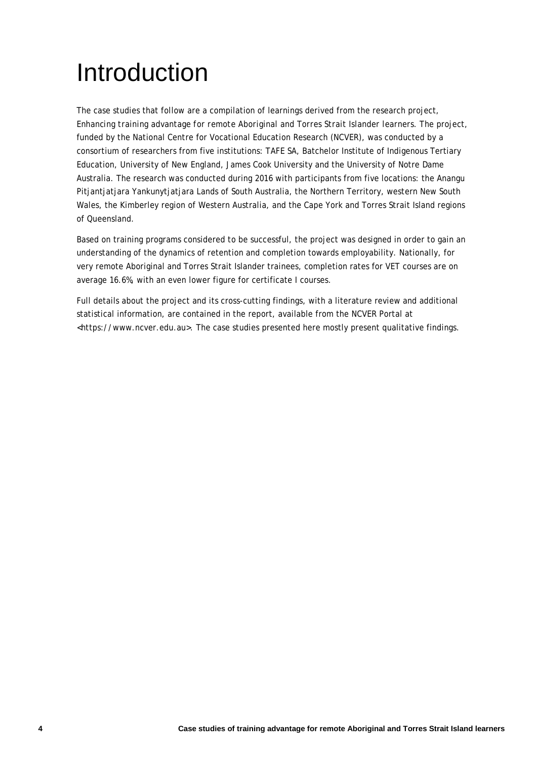# Introduction

The case studies that follow are a compilation of learnings derived from the research project, *Enhancing training advantage for remote Aboriginal and Torres Strait Islander learners*. The project, funded by the National Centre for Vocational Education Research (NCVER), was conducted by a consortium of researchers from five institutions: TAFE SA, Batchelor Institute of Indigenous Tertiary Education, University of New England, James Cook University and the University of Notre Dame Australia. The research was conducted during 2016 with participants from five locations: the Anangu Pitjantjatjara Yankunytjatjara Lands of South Australia, the Northern Territory, western New South Wales, the Kimberley region of Western Australia, and the Cape York and Torres Strait Island regions of Queensland.

Based on training programs considered to be successful, the project was designed in order to gain an understanding of the dynamics of retention and completion towards employability. Nationally, for very remote Aboriginal and Torres Strait Islander trainees, completion rates for VET courses are on average 16.6%, with an even lower figure for certificate I courses.

Full details about the project and its cross-cutting findings, with a literature review and additional statistical information, are contained in the report, available from the NCVER Portal at <https://www.ncver.edu.au>. The case studies presented here mostly present qualitative findings.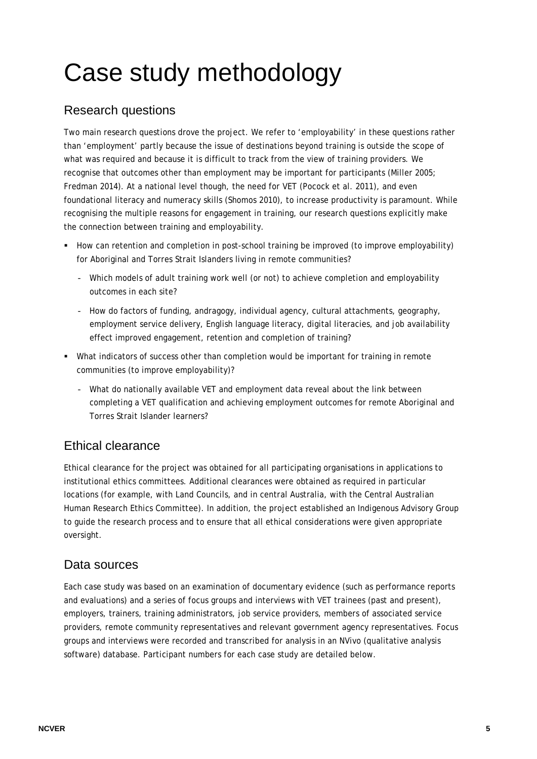# Case study methodology

# Research questions

Two main research questions drove the project. We refer to 'employability' in these questions rather than 'employment' partly because the issue of destinations beyond training is outside the scope of what was required and because it is difficult to track from the view of training providers. We recognise that outcomes other than employment may be important for participants (Miller 2005; Fredman 2014). At a national level though, the need for VET (Pocock et al. 2011), and even foundational literacy and numeracy skills (Shomos 2010), to increase productivity is paramount. While recognising the multiple reasons for engagement in training, our research questions explicitly make the connection between training and employability.

- How can retention and completion in post-school training be improved (to improve employability) for Aboriginal and Torres Strait Islanders living in remote communities?
	- Which models of adult training work well (or not) to achieve completion and employability outcomes in each site?
	- How do factors of funding, andragogy, individual agency, cultural attachments, geography, employment service delivery, English language literacy, digital literacies, and job availability effect improved engagement, retention and completion of training?
- What indicators of success other than completion would be important for training in remote communities (to improve employability)?
	- What do nationally available VET and employment data reveal about the link between completing a VET qualification and achieving employment outcomes for remote Aboriginal and Torres Strait Islander learners?

# Ethical clearance

Ethical clearance for the project was obtained for all participating organisations in applications to institutional ethics committees. Additional clearances were obtained as required in particular locations (for example, with Land Councils, and in central Australia, with the Central Australian Human Research Ethics Committee). In addition, the project established an Indigenous Advisory Group to guide the research process and to ensure that all ethical considerations were given appropriate oversight.

# Data sources

Each case study was based on an examination of documentary evidence (such as performance reports and evaluations) and a series of focus groups and interviews with VET trainees (past and present), employers, trainers, training administrators, job service providers, members of associated service providers, remote community representatives and relevant government agency representatives. Focus groups and interviews were recorded and transcribed for analysis in an NVivo (qualitative analysis software) database. Participant numbers for each case study are detailed below.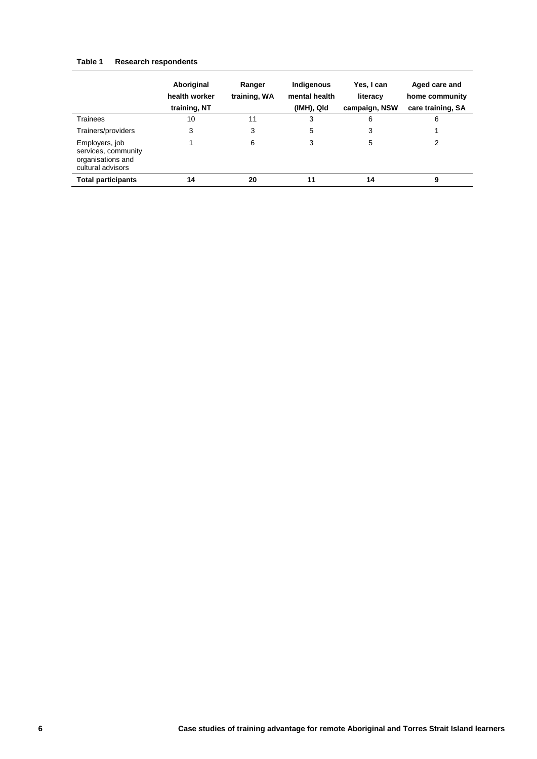#### **Table 1 Research respondents**

|                                                                                 | Aboriginal<br>health worker<br>training, NT | Ranger<br>training, WA | Indigenous<br>mental health<br>(IMH), QId | Yes, I can<br>literacy<br>campaign, NSW | Aged care and<br>home community<br>care training, SA |
|---------------------------------------------------------------------------------|---------------------------------------------|------------------------|-------------------------------------------|-----------------------------------------|------------------------------------------------------|
| Trainees                                                                        | 10                                          | 11                     | 3                                         | 6                                       | 6                                                    |
| Trainers/providers                                                              | 3                                           | 3                      | 5                                         | 3                                       |                                                      |
| Employers, job<br>services, community<br>organisations and<br>cultural advisors |                                             | 6                      | 3                                         | 5                                       | 2                                                    |
| <b>Total participants</b>                                                       | 14                                          | 20                     | 11                                        | 14                                      | 9                                                    |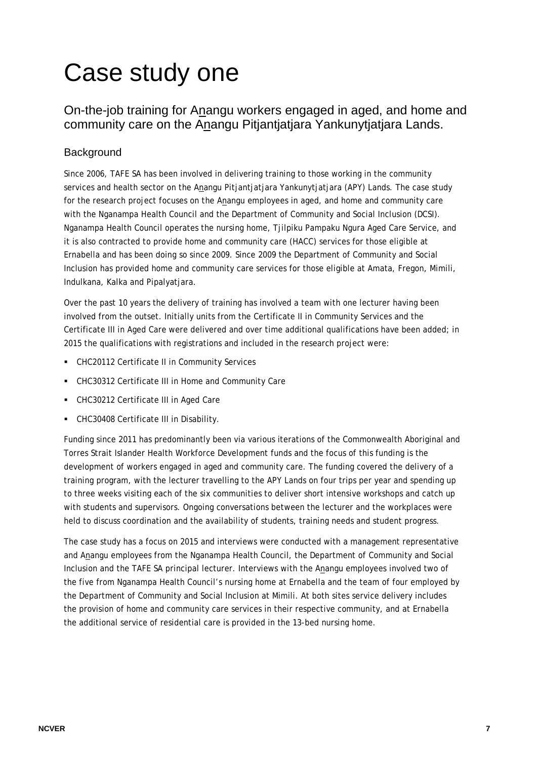# Case study one

# On-the-job training for Anangu workers engaged in aged, and home and community care on the Anangu Pitjantjatjara Yankunytjatjara Lands.

# **Background**

Since 2006, TAFE SA has been involved in delivering training to those working in the community services and health sector on the Anangu Pitjantjatjara Yankunytjatjara (APY) Lands. The case study for the research project focuses on the Anangu employees in aged, and home and community care with the Nganampa Health Council and the Department of Community and Social Inclusion (DCSI). Nganampa Health Council operates the nursing home, Tjilpiku Pampaku Ngura Aged Care Service, and it is also contracted to provide home and community care (HACC) services for those eligible at Ernabella and has been doing so since 2009. Since 2009 the Department of Community and Social Inclusion has provided home and community care services for those eligible at Amata, Fregon, Mimili, Indulkana, Kalka and Pipalyatjara.

Over the past 10 years the delivery of training has involved a team with one lecturer having been involved from the outset. Initially units from the Certificate II in Community Services and the Certificate III in Aged Care were delivered and over time additional qualifications have been added; in 2015 the qualifications with registrations and included in the research project were:

- CHC20112 Certificate II in Community Services
- CHC30312 Certificate III in Home and Community Care
- CHC30212 Certificate III in Aged Care
- CHC30408 Certificate III in Disability.

Funding since 2011 has predominantly been via various iterations of the Commonwealth Aboriginal and Torres Strait Islander Health Workforce Development funds and the focus of this funding is the development of workers engaged in aged and community care. The funding covered the delivery of a training program, with the lecturer travelling to the APY Lands on four trips per year and spending up to three weeks visiting each of the six communities to deliver short intensive workshops and catch up with students and supervisors. Ongoing conversations between the lecturer and the workplaces were held to discuss coordination and the availability of students, training needs and student progress.

The case study has a focus on 2015 and interviews were conducted with a management representative and Anangu employees from the Nganampa Health Council, the Department of Community and Social Inclusion and the TAFE SA principal lecturer. Interviews with the Anangu employees involved two of the five from Nganampa Health Council's nursing home at Ernabella and the team of four employed by the Department of Community and Social Inclusion at Mimili. At both sites service delivery includes the provision of home and community care services in their respective community, and at Ernabella the additional service of residential care is provided in the 13-bed nursing home.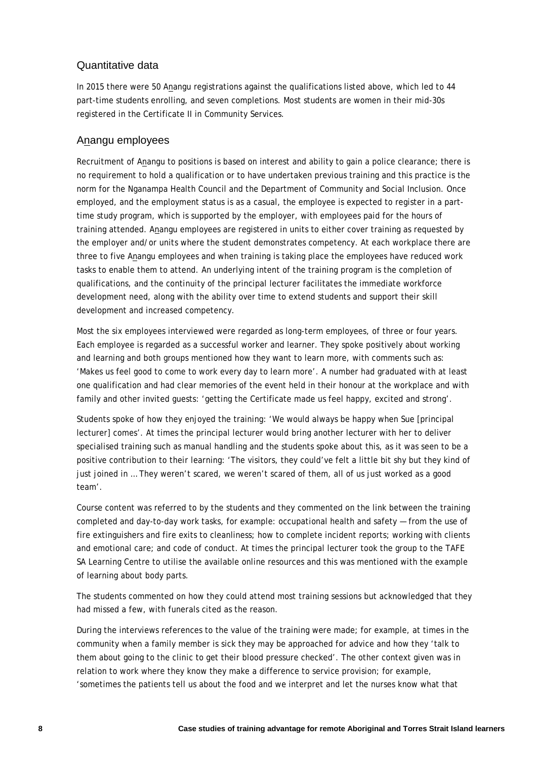### Quantitative data

In 2015 there were 50 Anangu registrations against the qualifications listed above, which led to 44 part-time students enrolling, and seven completions. Most students are women in their mid-30s registered in the Certificate II in Community Services.

### Anangu employees

Recruitment of Anangu to positions is based on interest and ability to gain a police clearance; there is no requirement to hold a qualification or to have undertaken previous training and this practice is the norm for the Nganampa Health Council and the Department of Community and Social Inclusion. Once employed, and the employment status is as a casual, the employee is expected to register in a parttime study program, which is supported by the employer, with employees paid for the hours of training attended. Anangu employees are registered in units to either cover training as requested by the employer and/or units where the student demonstrates competency. At each workplace there are three to five Anangu employees and when training is taking place the employees have reduced work tasks to enable them to attend. An underlying intent of the training program is the completion of qualifications, and the continuity of the principal lecturer facilitates the immediate workforce development need, along with the ability over time to extend students and support their skill development and increased competency.

Most the six employees interviewed were regarded as long-term employees, of three or four years. Each employee is regarded as a successful worker and learner. They spoke positively about working and learning and both groups mentioned how they want to learn more, with comments such as: 'Makes us feel good to come to work every day to learn more'. A number had graduated with at least one qualification and had clear memories of the event held in their honour at the workplace and with family and other invited guests: 'getting the Certificate made us feel happy, excited and strong'.

Students spoke of how they enjoyed the training: 'We would always be happy when Sue [principal lecturer] comes'. At times the principal lecturer would bring another lecturer with her to deliver specialised training such as manual handling and the students spoke about this, as it was seen to be a positive contribution to their learning: 'The visitors, they could've felt a little bit shy but they kind of just joined in … They weren't scared, we weren't scared of them, all of us just worked as a good team'.

Course content was referred to by the students and they commented on the link between the training completed and day-to-day work tasks, for example: occupational health and safety — from the use of fire extinguishers and fire exits to cleanliness; how to complete incident reports; working with clients and emotional care; and code of conduct. At times the principal lecturer took the group to the TAFE SA Learning Centre to utilise the available online resources and this was mentioned with the example of learning about body parts.

The students commented on how they could attend most training sessions but acknowledged that they had missed a few, with funerals cited as the reason.

During the interviews references to the value of the training were made; for example, at times in the community when a family member is sick they may be approached for advice and how they 'talk to them about going to the clinic to get their blood pressure checked'. The other context given was in relation to work where they know they make a difference to service provision; for example, 'sometimes the patients tell us about the food and we interpret and let the nurses know what that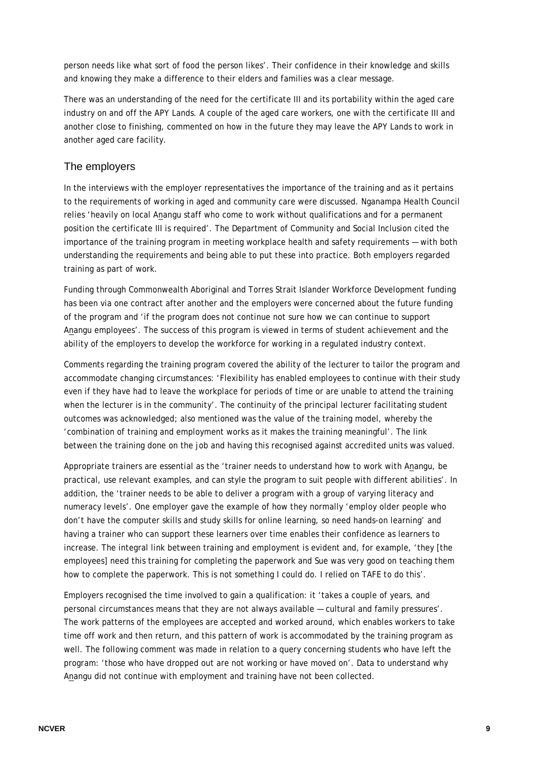person needs like what sort of food the person likes'. Their confidence in their knowledge and skills and knowing they make a difference to their elders and families was a clear message.

There was an understanding of the need for the certificate III and its portability within the aged care industry on and off the APY Lands. A couple of the aged care workers, one with the certificate III and another close to finishing, commented on how in the future they may leave the APY Lands to work in another aged care facility.

#### The employers

In the interviews with the employer representatives the importance of the training and as it pertains to the requirements of working in aged and community care were discussed. Nganampa Health Council relies 'heavily on local Anangu staff who come to work without qualifications and for a permanent position the certificate III is required'. The Department of Community and Social Inclusion cited the importance of the training program in meeting workplace health and safety requirements — with both understanding the requirements and being able to put these into practice. Both employers regarded training as part of work.

Funding through Commonwealth Aboriginal and Torres Strait Islander Workforce Development funding has been via one contract after another and the employers were concerned about the future funding of the program and 'if the program does not continue not sure how we can continue to support Anangu employees'. The success of this program is viewed in terms of student achievement and the ability of the employers to develop the workforce for working in a regulated industry context.

Comments regarding the training program covered the ability of the lecturer to tailor the program and accommodate changing circumstances: 'Flexibility has enabled employees to continue with their study even if they have had to leave the workplace for periods of time or are unable to attend the training when the lecturer is in the community'. The continuity of the principal lecturer facilitating student outcomes was acknowledged; also mentioned was the value of the training model, whereby the 'combination of training and employment works as it makes the training meaningful'. The link between the training done on the job and having this recognised against accredited units was valued.

Appropriate trainers are essential as the 'trainer needs to understand how to work with Anangu, be practical, use relevant examples, and can style the program to suit people with different abilities'. In addition, the 'trainer needs to be able to deliver a program with a group of varying literacy and numeracy levels'. One employer gave the example of how they normally 'employ older people who don't have the computer skills and study skills for online learning, so need hands-on learning' and having a trainer who can support these learners over time enables their confidence as learners to increase. The integral link between training and employment is evident and, for example, 'they [the employees] need this training for completing the paperwork and Sue was very good on teaching them how to complete the paperwork. This is not something I could do. I relied on TAFE to do this'.

Employers recognised the time involved to gain a qualification: it 'takes a couple of years, and personal circumstances means that they are not always available — cultural and family pressures'. The work patterns of the employees are accepted and worked around, which enables workers to take time off work and then return, and this pattern of work is accommodated by the training program as well. The following comment was made in relation to a query concerning students who have left the program: 'those who have dropped out are not working or have moved on'. Data to understand why Anangu did not continue with employment and training have not been collected.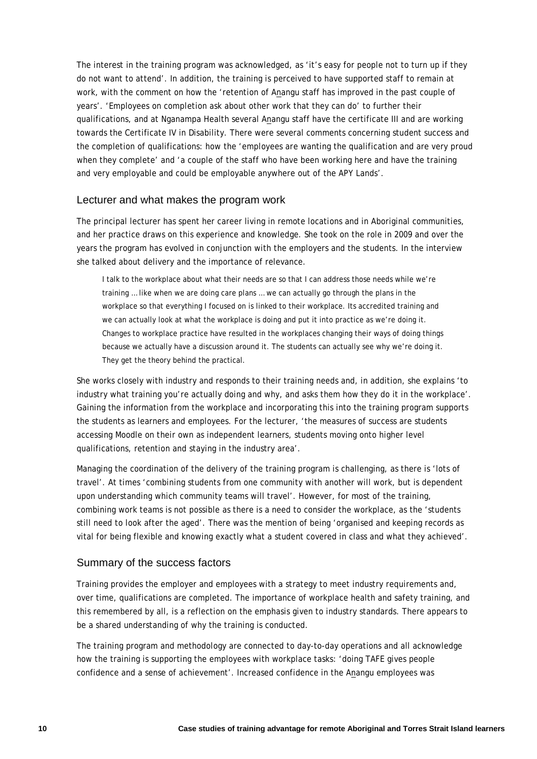The interest in the training program was acknowledged, as 'it's easy for people not to turn up if they do not want to attend'. In addition, the training is perceived to have supported staff to remain at work, with the comment on how the 'retention of Anangu staff has improved in the past couple of years'. 'Employees on completion ask about other work that they can do' to further their qualifications, and at Nganampa Health several Anangu staff have the certificate III and are working towards the Certificate IV in Disability. There were several comments concerning student success and the completion of qualifications: how the 'employees are wanting the qualification and are very proud when they complete' and 'a couple of the staff who have been working here and have the training and very employable and could be employable anywhere out of the APY Lands'.

#### Lecturer and what makes the program work

The principal lecturer has spent her career living in remote locations and in Aboriginal communities, and her practice draws on this experience and knowledge. She took on the role in 2009 and over the years the program has evolved in conjunction with the employers and the students. In the interview she talked about delivery and the importance of relevance.

I talk to the workplace about what their needs are so that I can address those needs while we're training … like when we are doing care plans … we can actually go through the plans in the workplace so that everything I focused on is linked to their workplace. Its accredited training and we can actually look at what the workplace is doing and put it into practice as we're doing it. Changes to workplace practice have resulted in the workplaces changing their ways of doing things because we actually have a discussion around it. The students can actually see why we're doing it. They get the theory behind the practical.

She works closely with industry and responds to their training needs and, in addition, she explains 'to industry what training you're actually doing and why, and asks them how they do it in the workplace'. Gaining the information from the workplace and incorporating this into the training program supports the students as learners and employees. For the lecturer, 'the measures of success are students accessing Moodle on their own as independent learners, students moving onto higher level qualifications, retention and staying in the industry area'.

Managing the coordination of the delivery of the training program is challenging, as there is 'lots of travel'. At times 'combining students from one community with another will work, but is dependent upon understanding which community teams will travel'. However, for most of the training, combining work teams is not possible as there is a need to consider the workplace, as the 'students still need to look after the aged'. There was the mention of being 'organised and keeping records as vital for being flexible and knowing exactly what a student covered in class and what they achieved'.

#### Summary of the success factors

Training provides the employer and employees with a strategy to meet industry requirements and, over time, qualifications are completed. The importance of workplace health and safety training, and this remembered by all, is a reflection on the emphasis given to industry standards. There appears to be a shared understanding of why the training is conducted.

The training program and methodology are connected to day-to-day operations and all acknowledge how the training is supporting the employees with workplace tasks: 'doing TAFE gives people confidence and a sense of achievement'. Increased confidence in the Anangu employees was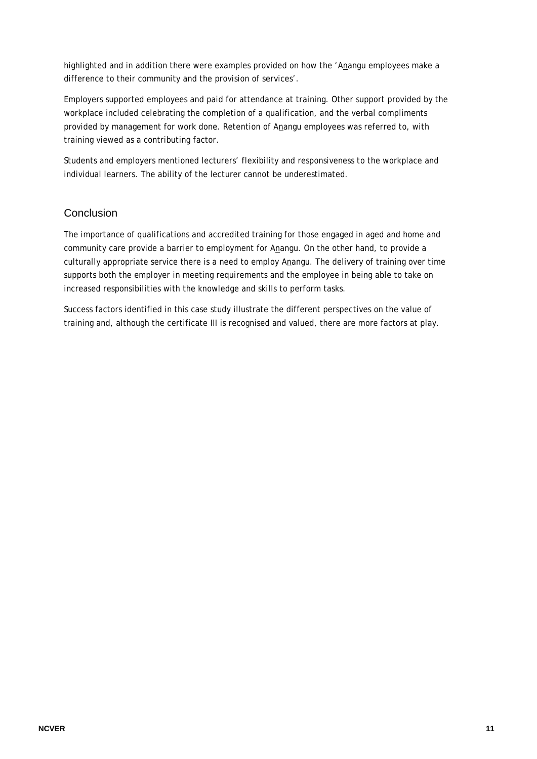highlighted and in addition there were examples provided on how the 'Anangu employees make a difference to their community and the provision of services'.

Employers supported employees and paid for attendance at training. Other support provided by the workplace included celebrating the completion of a qualification, and the verbal compliments provided by management for work done. Retention of Anangu employees was referred to, with training viewed as a contributing factor.

Students and employers mentioned lecturers' flexibility and responsiveness to the workplace and individual learners. The ability of the lecturer cannot be underestimated.

## **Conclusion**

The importance of qualifications and accredited training for those engaged in aged and home and community care provide a barrier to employment for Anangu. On the other hand, to provide a culturally appropriate service there is a need to employ Anangu. The delivery of training over time supports both the employer in meeting requirements and the employee in being able to take on increased responsibilities with the knowledge and skills to perform tasks.

Success factors identified in this case study illustrate the different perspectives on the value of training and, although the certificate III is recognised and valued, there are more factors at play.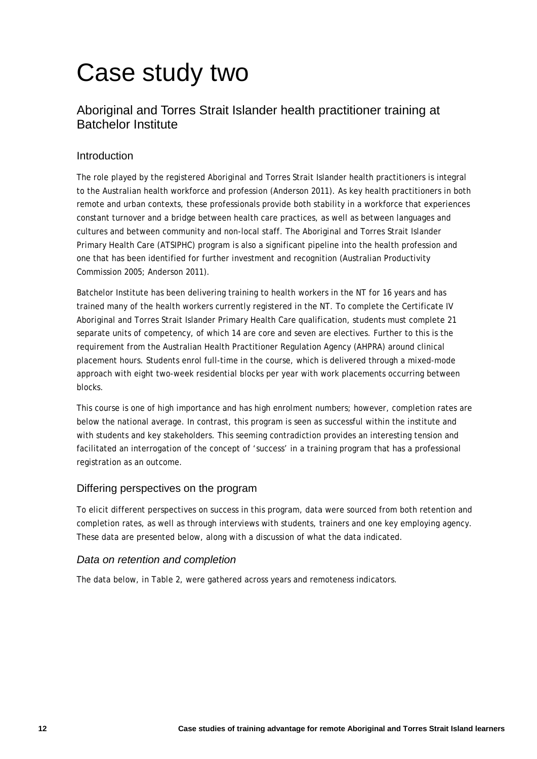# Case study two

# Aboriginal and Torres Strait Islander health practitioner training at Batchelor Institute

## Introduction

The role played by the registered Aboriginal and Torres Strait Islander health practitioners is integral to the Australian health workforce and profession (Anderson 2011). As key health practitioners in both remote and urban contexts, these professionals provide both stability in a workforce that experiences constant turnover and a bridge between health care practices, as well as between languages and cultures and between community and non-local staff. The Aboriginal and Torres Strait Islander Primary Health Care (ATSIPHC) program is also a significant pipeline into the health profession and one that has been identified for further investment and recognition (Australian Productivity Commission 2005; Anderson 2011).

Batchelor Institute has been delivering training to health workers in the NT for 16 years and has trained many of the health workers currently registered in the NT. To complete the Certificate IV Aboriginal and Torres Strait Islander Primary Health Care qualification, students must complete 21 separate units of competency, of which 14 are core and seven are electives. Further to this is the requirement from the Australian Health Practitioner Regulation Agency (AHPRA) around clinical placement hours. Students enrol full-time in the course, which is delivered through a mixed-mode approach with eight two-week residential blocks per year with work placements occurring between blocks.

This course is one of high importance and has high enrolment numbers; however, completion rates are below the national average. In contrast, this program is seen as successful within the institute and with students and key stakeholders. This seeming contradiction provides an interesting tension and facilitated an interrogation of the concept of 'success' in a training program that has a professional registration as an outcome.

## Differing perspectives on the program

To elicit different perspectives on success in this program, data were sourced from both retention and completion rates, as well as through interviews with students, trainers and one key employing agency. These data are presented below, along with a discussion of what the data indicated.

## *Data on retention and completion*

The data below, in [Table 2,](#page-12-0) were gathered across years and remoteness indicators.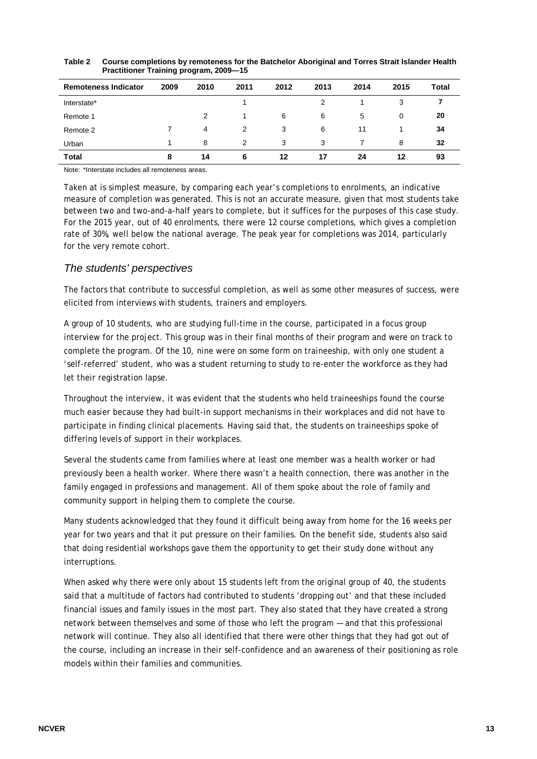| <b>Remoteness Indicator</b> | 2009 | 2010 | 2011 | 2012 | 2013 | 2014 | 2015 | <b>Total</b> |
|-----------------------------|------|------|------|------|------|------|------|--------------|
| Interstate*                 |      |      |      |      | 2    |      | 3    |              |
| Remote 1                    |      | 2    |      | 6    | 6    | 5    | 0    | 20           |
| Remote 2                    |      | 4    | 2    | 3    | 6    | 11   |      | 34           |
| Urban                       |      | 8    | 2    | 3    | 3    |      | 8    | 32           |
| Total                       | 8    | 14   | 6    | 12   | 17   | 24   | 12   | 93           |

<span id="page-12-0"></span>

| Table 2 | Course completions by remoteness for the Batchelor Aboriginal and Torres Strait Islander Health |
|---------|-------------------------------------------------------------------------------------------------|
|         | <b>Practitioner Training program, 2009–15</b>                                                   |

Note: \*Interstate includes all remoteness areas.

Taken at is simplest measure, by comparing each year's completions to enrolments, an indicative measure of completion was generated. This is not an accurate measure, given that most students take between two and two-and-a-half years to complete, but it suffices for the purposes of this case study. For the 2015 year, out of 40 enrolments, there were 12 course completions, which gives a completion rate of 30%, well below the national average. The peak year for completions was 2014, particularly for the very remote cohort.

#### *The students' perspectives*

The factors that contribute to successful completion, as well as some other measures of success, were elicited from interviews with students, trainers and employers.

A group of 10 students, who are studying full-time in the course, participated in a focus group interview for the project. This group was in their final months of their program and were on track to complete the program. Of the 10, nine were on some form on traineeship, with only one student a 'self-referred' student, who was a student returning to study to re-enter the workforce as they had let their registration lapse.

Throughout the interview, it was evident that the students who held traineeships found the course much easier because they had built-in support mechanisms in their workplaces and did not have to participate in finding clinical placements. Having said that, the students on traineeships spoke of differing levels of support in their workplaces.

Several the students came from families where at least one member was a health worker or had previously been a health worker. Where there wasn't a health connection, there was another in the family engaged in professions and management. All of them spoke about the role of family and community support in helping them to complete the course.

Many students acknowledged that they found it difficult being away from home for the 16 weeks per year for two years and that it put pressure on their families. On the benefit side, students also said that doing residential workshops gave them the opportunity to get their study done without any interruptions.

When asked why there were only about 15 students left from the original group of 40, the students said that a multitude of factors had contributed to students 'dropping out' and that these included financial issues and family issues in the most part. They also stated that they have created a strong network between themselves and some of those who left the program — and that this professional network will continue. They also all identified that there were other things that they had got out of the course, including an increase in their self-confidence and an awareness of their positioning as role models within their families and communities.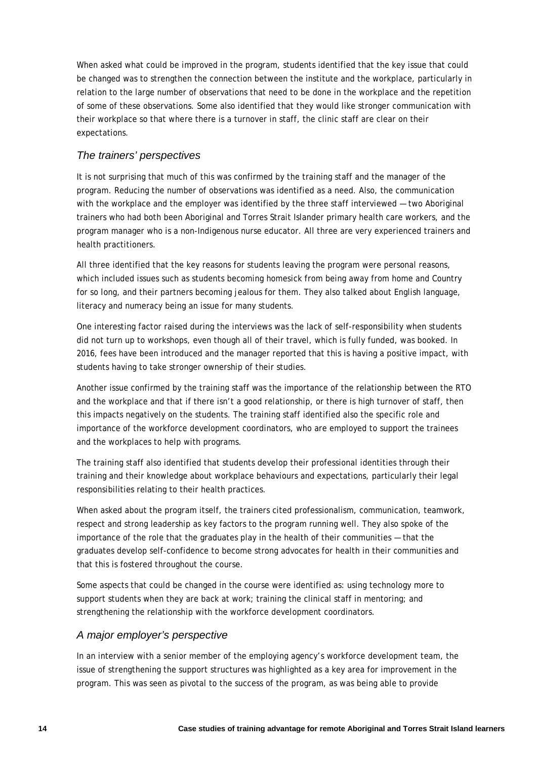When asked what could be improved in the program, students identified that the key issue that could be changed was to strengthen the connection between the institute and the workplace, particularly in relation to the large number of observations that need to be done in the workplace and the repetition of some of these observations. Some also identified that they would like stronger communication with their workplace so that where there is a turnover in staff, the clinic staff are clear on their expectations.

### *The trainers' perspectives*

It is not surprising that much of this was confirmed by the training staff and the manager of the program. Reducing the number of observations was identified as a need. Also, the communication with the workplace and the employer was identified by the three staff interviewed — two Aboriginal trainers who had both been Aboriginal and Torres Strait Islander primary health care workers, and the program manager who is a non-Indigenous nurse educator. All three are very experienced trainers and health practitioners.

All three identified that the key reasons for students leaving the program were personal reasons, which included issues such as students becoming homesick from being away from home and Country for so long, and their partners becoming jealous for them. They also talked about English language, literacy and numeracy being an issue for many students.

One interesting factor raised during the interviews was the lack of self-responsibility when students did not turn up to workshops, even though all of their travel, which is fully funded, was booked. In 2016, fees have been introduced and the manager reported that this is having a positive impact, with students having to take stronger ownership of their studies.

Another issue confirmed by the training staff was the importance of the relationship between the RTO and the workplace and that if there isn't a good relationship, or there is high turnover of staff, then this impacts negatively on the students. The training staff identified also the specific role and importance of the workforce development coordinators, who are employed to support the trainees and the workplaces to help with programs.

The training staff also identified that students develop their professional identities through their training and their knowledge about workplace behaviours and expectations, particularly their legal responsibilities relating to their health practices.

When asked about the program itself, the trainers cited professionalism, communication, teamwork, respect and strong leadership as key factors to the program running well. They also spoke of the importance of the role that the graduates play in the health of their communities — that the graduates develop self-confidence to become strong advocates for health in their communities and that this is fostered throughout the course.

Some aspects that could be changed in the course were identified as: using technology more to support students when they are back at work; training the clinical staff in mentoring; and strengthening the relationship with the workforce development coordinators.

#### *A major employer's perspective*

In an interview with a senior member of the employing agency's workforce development team, the issue of strengthening the support structures was highlighted as a key area for improvement in the program. This was seen as pivotal to the success of the program, as was being able to provide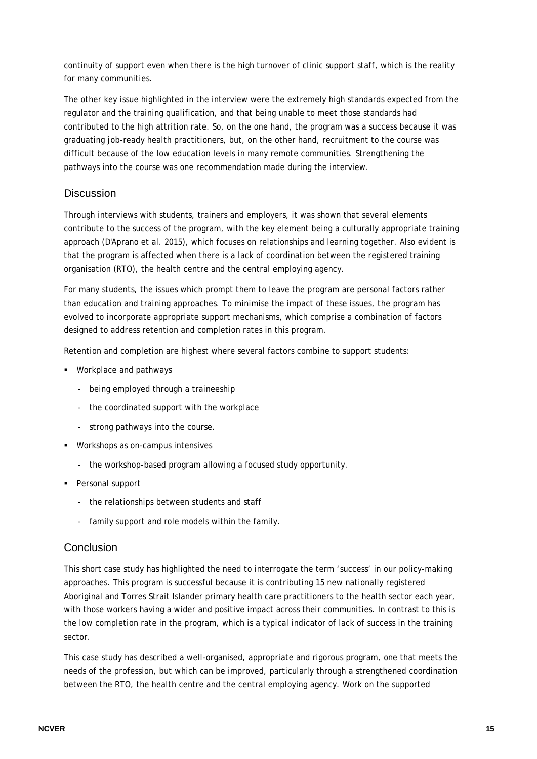continuity of support even when there is the high turnover of clinic support staff, which is the reality for many communities.

The other key issue highlighted in the interview were the extremely high standards expected from the regulator and the training qualification, and that being unable to meet those standards had contributed to the high attrition rate. So, on the one hand, the program was a success because it was graduating job-ready health practitioners, but, on the other hand, recruitment to the course was difficult because of the low education levels in many remote communities. Strengthening the pathways into the course was one recommendation made during the interview.

## **Discussion**

Through interviews with students, trainers and employers, it was shown that several elements contribute to the success of the program, with the key element being a culturally appropriate training approach (D'Aprano et al. 2015), which focuses on relationships and learning together. Also evident is that the program is affected when there is a lack of coordination between the registered training organisation (RTO), the health centre and the central employing agency.

For many students, the issues which prompt them to leave the program are personal factors rather than education and training approaches. To minimise the impact of these issues, the program has evolved to incorporate appropriate support mechanisms, which comprise a combination of factors designed to address retention and completion rates in this program.

Retention and completion are highest where several factors combine to support students:

- **Workplace and pathways** 
	- being employed through a traineeship
	- the coordinated support with the workplace
	- strong pathways into the course.
- **Workshops as on-campus intensives** 
	- the workshop-based program allowing a focused study opportunity.
- Personal support
	- the relationships between students and staff
	- family support and role models within the family.

#### **Conclusion**

This short case study has highlighted the need to interrogate the term 'success' in our policy-making approaches. This program is successful because it is contributing 15 new nationally registered Aboriginal and Torres Strait Islander primary health care practitioners to the health sector each year, with those workers having a wider and positive impact across their communities. In contrast to this is the low completion rate in the program, which is a typical indicator of lack of success in the training sector.

This case study has described a well-organised, appropriate and rigorous program, one that meets the needs of the profession, but which can be improved, particularly through a strengthened coordination between the RTO, the health centre and the central employing agency. Work on the supported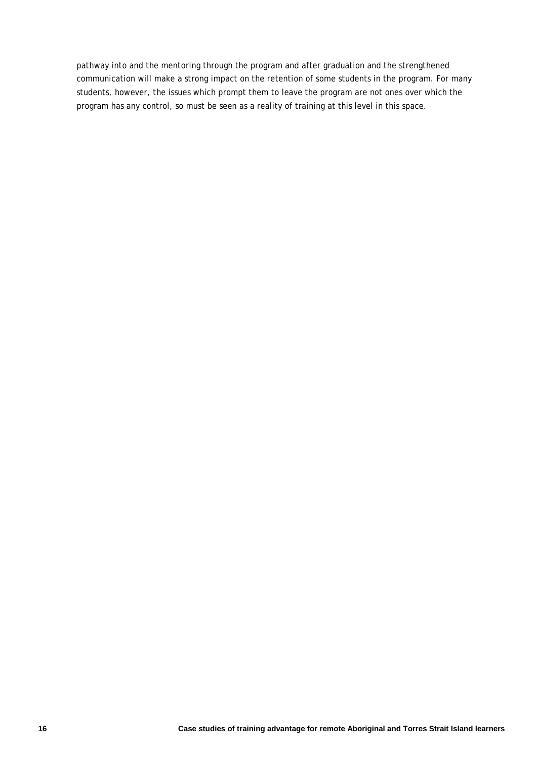pathway into and the mentoring through the program and after graduation and the strengthened communication will make a strong impact on the retention of some students in the program. For many students, however, the issues which prompt them to leave the program are not ones over which the program has any control, so must be seen as a reality of training at this level in this space.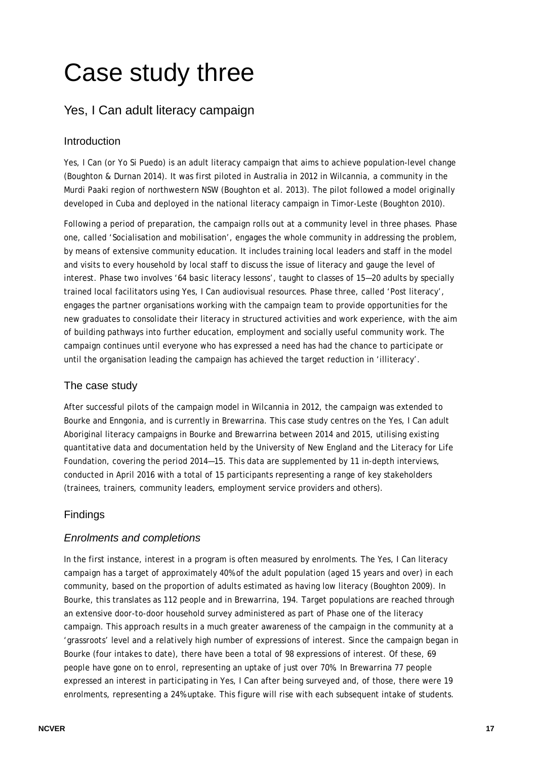# Case study three

# Yes, I Can adult literacy campaign

## Introduction

Yes, I Can (or Yo Si Puedo) is an adult literacy campaign that aims to achieve population-level change (Boughton & Durnan 2014). It was first piloted in Australia in 2012 in Wilcannia, a community in the Murdi Paaki region of northwestern NSW (Boughton et al. 2013). The pilot followed a model originally developed in Cuba and deployed in the national literacy campaign in Timor-Leste (Boughton 2010).

Following a period of preparation, the campaign rolls out at a community level in three phases. Phase one, called 'Socialisation and mobilisation', engages the whole community in addressing the problem, by means of extensive community education. It includes training local leaders and staff in the model and visits to every household by local staff to discuss the issue of literacy and gauge the level of interest. Phase two involves '64 basic literacy lessons', taught to classes of 15—20 adults by specially trained local facilitators using Yes, I Can audiovisual resources. Phase three, called 'Post literacy', engages the partner organisations working with the campaign team to provide opportunities for the new graduates to consolidate their literacy in structured activities and work experience, with the aim of building pathways into further education, employment and socially useful community work. The campaign continues until everyone who has expressed a need has had the chance to participate or until the organisation leading the campaign has achieved the target reduction in 'illiteracy'.

## The case study

After successful pilots of the campaign model in Wilcannia in 2012, the campaign was extended to Bourke and Enngonia, and is currently in Brewarrina. This case study centres on the Yes, I Can adult Aboriginal literacy campaigns in Bourke and Brewarrina between 2014 and 2015, utilising existing quantitative data and documentation held by the University of New England and the Literacy for Life Foundation, covering the period 2014—15. This data are supplemented by 11 in-depth interviews, conducted in April 2016 with a total of 15 participants representing a range of key stakeholders (trainees, trainers, community leaders, employment service providers and others).

# Findings

## *Enrolments and completions*

In the first instance, interest in a program is often measured by enrolments. The Yes, I Can literacy campaign has a target of approximately 40% of the adult population (aged 15 years and over) in each community, based on the proportion of adults estimated as having low literacy (Boughton 2009). In Bourke, this translates as 112 people and in Brewarrina, 194. Target populations are reached through an extensive door-to-door household survey administered as part of Phase one of the literacy campaign. This approach results in a much greater awareness of the campaign in the community at a 'grassroots' level and a relatively high number of expressions of interest. Since the campaign began in Bourke (four intakes to date), there have been a total of 98 expressions of interest. Of these, 69 people have gone on to enrol, representing an uptake of just over 70%. In Brewarrina 77 people expressed an interest in participating in Yes, I Can after being surveyed and, of those, there were 19 enrolments, representing a 24% uptake. This figure will rise with each subsequent intake of students.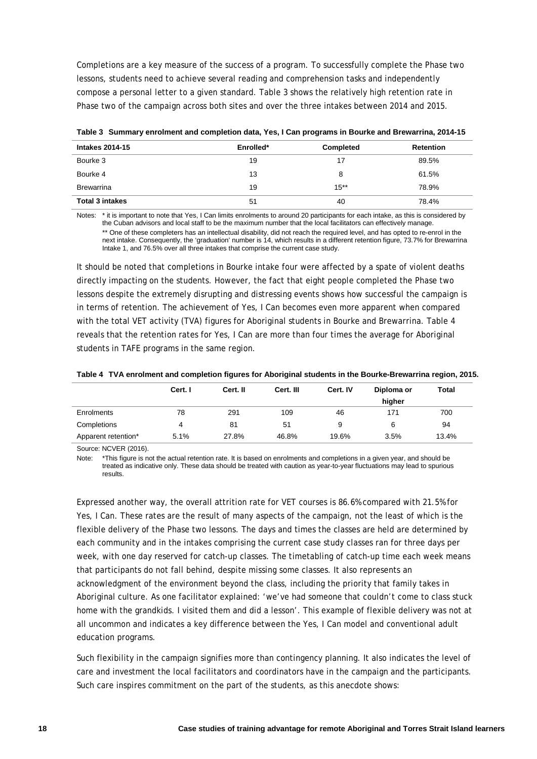Completions are a key measure of the success of a program. To successfully complete the Phase two lessons, students need to achieve several reading and comprehension tasks and independently compose a personal letter to a given standard. Table 3 shows the relatively high retention rate in Phase two of the campaign across both sites and over the three intakes between 2014 and 2015.

| <b>Intakes 2014-15</b> | Enrolled* | Completed | <b>Retention</b> |
|------------------------|-----------|-----------|------------------|
| Bourke 3               | 19        | 17        | 89.5%            |
| Bourke 4               | 13        | 8         | 61.5%            |
| <b>Brewarrina</b>      | 19        | $15***$   | 78.9%            |
| <b>Total 3 intakes</b> | 51        | 40        | 78.4%            |

**Table 3 Summary enrolment and completion data, Yes, I Can programs in Bourke and Brewarrina, 2014-15** 

Notes: \* it is important to note that Yes, I Can limits enrolments to around 20 participants for each intake, as this is considered by the Cuban advisors and local staff to be the maximum number that the local facilitators can effectively manage. \*\* One of these completers has an intellectual disability, did not reach the required level, and has opted to re-enrol in the next intake. Consequently, the 'graduation' number is 14, which results in a different retention figure, 73.7% for Brewarrina Intake 1, and 76.5% over all three intakes that comprise the current case study.

It should be noted that completions in Bourke intake four were affected by a spate of violent deaths directly impacting on the students. However, the fact that eight people completed the Phase two lessons despite the extremely disrupting and distressing events shows how successful the campaign is in terms of retention. The achievement of Yes, I Can becomes even more apparent when compared with the total VET activity (TVA) figures for Aboriginal students in Bourke and Brewarrina. Table 4 reveals that the retention rates for Yes, I Can are more than four times the average for Aboriginal students in TAFE programs in the same region.

**Table 4 TVA enrolment and completion figures for Aboriginal students in the Bourke-Brewarrina region, 2015.** 

|                     | Cert. I | Cert. II | Cert. III | Cert. IV | Diploma or | <b>Total</b> |
|---------------------|---------|----------|-----------|----------|------------|--------------|
|                     |         |          |           |          | hiaher     |              |
| Enrolments          | 78      | 291      | 109       | 46       | 171        | 700          |
| Completions         | 4       | 81       | 51        | 9        | 6          | 94           |
| Apparent retention* | 5.1%    | 27.8%    | 46.8%     | 19.6%    | 3.5%       | 13.4%        |

Source: NCVER (2016).

Note: \*This figure is not the actual retention rate. It is based on enrolments and completions in a given year, and should be treated as indicative only. These data should be treated with caution as year-to-year fluctuations may lead to spurious results.

Expressed another way, the overall attrition rate for VET courses is 86.6% compared with 21.5% for Yes, I Can. These rates are the result of many aspects of the campaign, not the least of which is the flexible delivery of the Phase two lessons. The days and times the classes are held are determined by each community and in the intakes comprising the current case study classes ran for three days per week, with one day reserved for catch-up classes. The timetabling of catch-up time each week means that participants do not fall behind, despite missing some classes. It also represents an acknowledgment of the environment beyond the class, including the priority that family takes in Aboriginal culture. As one facilitator explained: 'we've had someone that couldn't come to class stuck home with the grandkids. I visited them and did a lesson'. This example of flexible delivery was not at all uncommon and indicates a key difference between the Yes, I Can model and conventional adult education programs.

Such flexibility in the campaign signifies more than contingency planning. It also indicates the level of care and investment the local facilitators and coordinators have in the campaign and the participants. Such care inspires commitment on the part of the students, as this anecdote shows: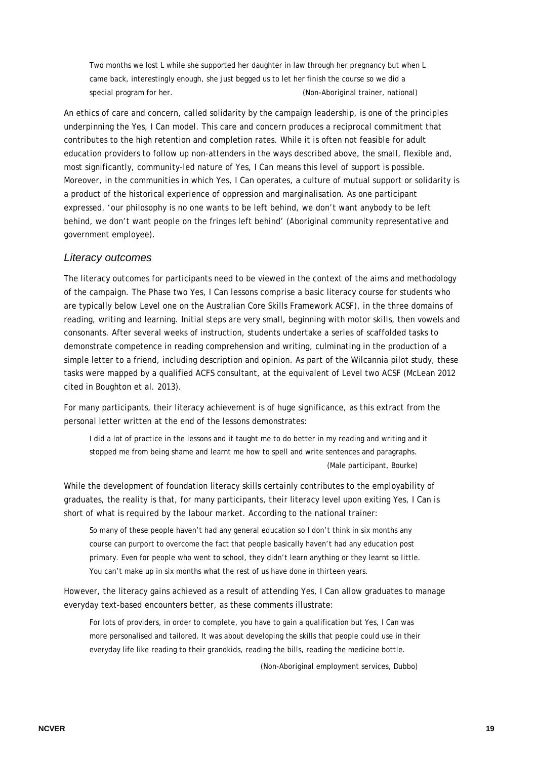Two months we lost L while she supported her daughter in law through her pregnancy but when L came back, interestingly enough, she just begged us to let her finish the course so we did a special program for her. (Non-Aboriginal trainer, national)

An ethics of care and concern, called solidarity by the campaign leadership, is one of the principles underpinning the Yes, I Can model. This care and concern produces a reciprocal commitment that contributes to the high retention and completion rates. While it is often not feasible for adult education providers to follow up non-attenders in the ways described above, the small, flexible and, most significantly, community-led nature of Yes, I Can means this level of support is possible. Moreover, in the communities in which Yes, I Can operates, a culture of mutual support or solidarity is a product of the historical experience of oppression and marginalisation. As one participant expressed, 'our philosophy is no one wants to be left behind, we don't want anybody to be left behind, we don't want people on the fringes left behind' (Aboriginal community representative and government employee).

#### *Literacy outcomes*

The literacy outcomes for participants need to be viewed in the context of the aims and methodology of the campaign. The Phase two Yes, I Can lessons comprise a basic literacy course for students who are typically below Level one on the Australian Core Skills Framework ACSF), in the three domains of reading, writing and learning. Initial steps are very small, beginning with motor skills, then vowels and consonants. After several weeks of instruction, students undertake a series of scaffolded tasks to demonstrate competence in reading comprehension and writing, culminating in the production of a simple letter to a friend, including description and opinion. As part of the Wilcannia pilot study, these tasks were mapped by a qualified ACFS consultant, at the equivalent of Level two ACSF (McLean 2012 cited in Boughton et al. 2013).

For many participants, their literacy achievement is of huge significance, as this extract from the personal letter written at the end of the lessons demonstrates:

I did a lot of practice in the lessons and it taught me to do better in my reading and writing and it stopped me from being shame and learnt me how to spell and write sentences and paragraphs. (Male participant, Bourke)

While the development of foundation literacy skills certainly contributes to the employability of graduates, the reality is that, for many participants, their literacy level upon exiting Yes, I Can is short of what is required by the labour market. According to the national trainer:

So many of these people haven't had any general education so I don't think in six months any course can purport to overcome the fact that people basically haven't had any education post primary. Even for people who went to school, they didn't learn anything or they learnt so little. You can't make up in six months what the rest of us have done in thirteen years.

However, the literacy gains achieved as a result of attending Yes, I Can allow graduates to manage everyday text-based encounters better, as these comments illustrate:

For lots of providers, in order to complete, you have to gain a qualification but Yes, I Can was more personalised and tailored. It was about developing the skills that people could use in their everyday life like reading to their grandkids, reading the bills, reading the medicine bottle.

(Non-Aboriginal employment services, Dubbo)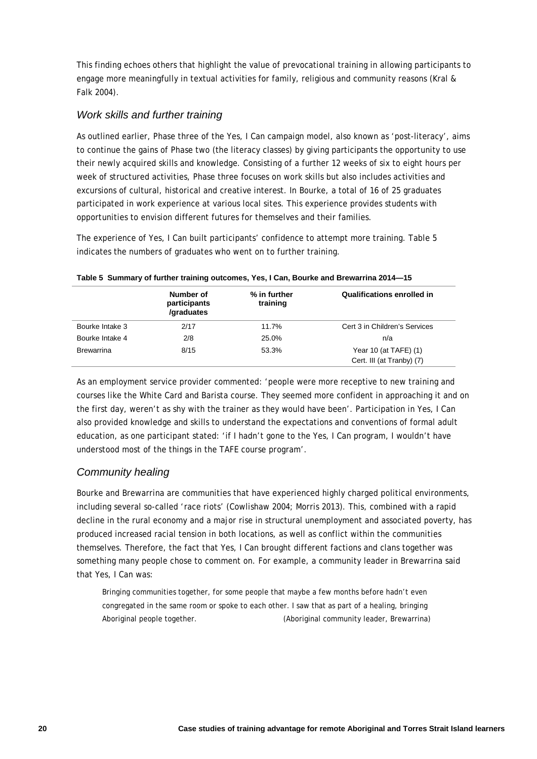This finding echoes others that highlight the value of prevocational training in allowing participants to engage more meaningfully in textual activities for family, religious and community reasons (Kral & Falk 2004).

### *Work skills and further training*

As outlined earlier, Phase three of the Yes, I Can campaign model, also known as 'post-literacy', aims to continue the gains of Phase two (the literacy classes) by giving participants the opportunity to use their newly acquired skills and knowledge. Consisting of a further 12 weeks of six to eight hours per week of structured activities, Phase three focuses on work skills but also includes activities and excursions of cultural, historical and creative interest. In Bourke, a total of 16 of 25 graduates participated in work experience at various local sites. This experience provides students with opportunities to envision different futures for themselves and their families.

The experience of Yes, I Can built participants' confidence to attempt more training. Table 5 indicates the numbers of graduates who went on to further training.

|                   | Number of<br>participants<br>/graduates | % in further<br>training | Qualifications enrolled in    |
|-------------------|-----------------------------------------|--------------------------|-------------------------------|
| Bourke Intake 3   | 2/17                                    | 11.7%                    | Cert 3 in Children's Services |
| Bourke Intake 4   | 2/8                                     | 25.0%                    | n/a                           |
| <b>Brewarrina</b> | 8/15                                    | 53.3%                    | Year 10 (at TAFE) $(1)$       |
|                   |                                         |                          | Cert. III (at Tranby) (7)     |

**Table 5 Summary of further training outcomes, Yes, I Can, Bourke and Brewarrina 2014—15**

As an employment service provider commented: 'people were more receptive to new training and courses like the White Card and Barista course. They seemed more confident in approaching it and on the first day, weren't as shy with the trainer as they would have been'. Participation in Yes, I Can also provided knowledge and skills to understand the expectations and conventions of formal adult education, as one participant stated: 'if I hadn't gone to the Yes, I Can program, I wouldn't have understood most of the things in the TAFE course program'.

# *Community healing*

Bourke and Brewarrina are communities that have experienced highly charged political environments, including several so-called 'race riots' (Cowlishaw 2004; Morris 2013). This, combined with a rapid decline in the rural economy and a major rise in structural unemployment and associated poverty, has produced increased racial tension in both locations, as well as conflict within the communities themselves. Therefore, the fact that Yes, I Can brought different factions and clans together was something many people chose to comment on. For example, a community leader in Brewarrina said that Yes, I Can was:

Bringing communities together, for some people that maybe a few months before hadn't even congregated in the same room or spoke to each other. I saw that as part of a healing, bringing Aboriginal people together. (Aboriginal community leader, Brewarrina)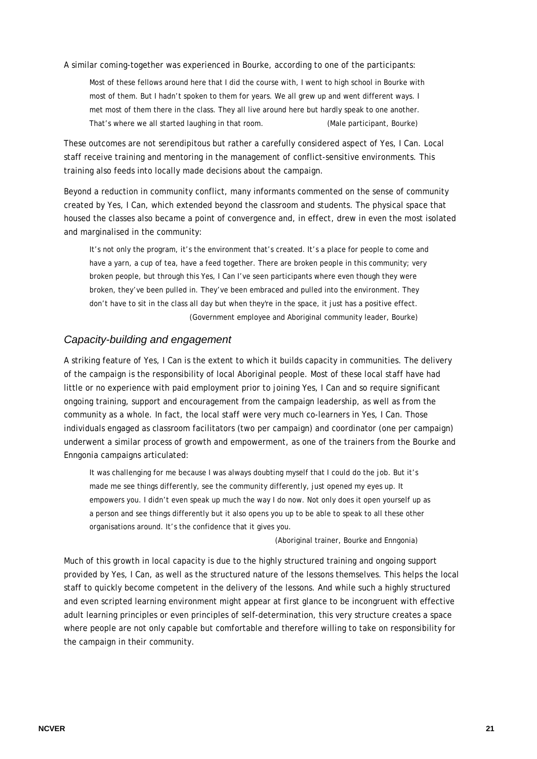A similar coming-together was experienced in Bourke, according to one of the participants:

Most of these fellows around here that I did the course with, I went to high school in Bourke with most of them. But I hadn't spoken to them for years. We all grew up and went different ways. I met most of them there in the class. They all live around here but hardly speak to one another. That's where we all started laughing in that room. (Male participant, Bourke)

These outcomes are not serendipitous but rather a carefully considered aspect of Yes, I Can. Local staff receive training and mentoring in the management of conflict-sensitive environments. This training also feeds into locally made decisions about the campaign.

Beyond a reduction in community conflict, many informants commented on the sense of community created by Yes, I Can, which extended beyond the classroom and students. The physical space that housed the classes also became a point of convergence and, in effect, drew in even the most isolated and marginalised in the community:

It's not only the program, it's the environment that's created. It's a place for people to come and have a yarn, a cup of tea, have a feed together. There are broken people in this community; very broken people, but through this Yes, I Can I've seen participants where even though they were broken, they've been pulled in. They've been embraced and pulled into the environment. They don't have to sit in the class all day but when they're in the space, it just has a positive effect. (Government employee and Aboriginal community leader, Bourke)

#### *Capacity-building and engagement*

A striking feature of Yes, I Can is the extent to which it builds capacity in communities. The delivery of the campaign is the responsibility of local Aboriginal people. Most of these local staff have had little or no experience with paid employment prior to joining Yes, I Can and so require significant ongoing training, support and encouragement from the campaign leadership, as well as from the community as a whole. In fact, the local staff were very much co-learners in Yes, I Can. Those individuals engaged as classroom facilitators (two per campaign) and coordinator (one per campaign) underwent a similar process of growth and empowerment, as one of the trainers from the Bourke and Enngonia campaigns articulated:

It was challenging for me because I was always doubting myself that I could do the job. But it's made me see things differently, see the community differently, just opened my eyes up. It empowers you. I didn't even speak up much the way I do now. Not only does it open yourself up as a person and see things differently but it also opens you up to be able to speak to all these other organisations around. It's the confidence that it gives you.

(Aboriginal trainer, Bourke and Enngonia)

Much of this growth in local capacity is due to the highly structured training and ongoing support provided by Yes, I Can, as well as the structured nature of the lessons themselves. This helps the local staff to quickly become competent in the delivery of the lessons. And while such a highly structured and even scripted learning environment might appear at first glance to be incongruent with effective adult learning principles or even principles of self-determination, this very structure creates a space where people are not only capable but comfortable and therefore willing to take on responsibility for the campaign in their community.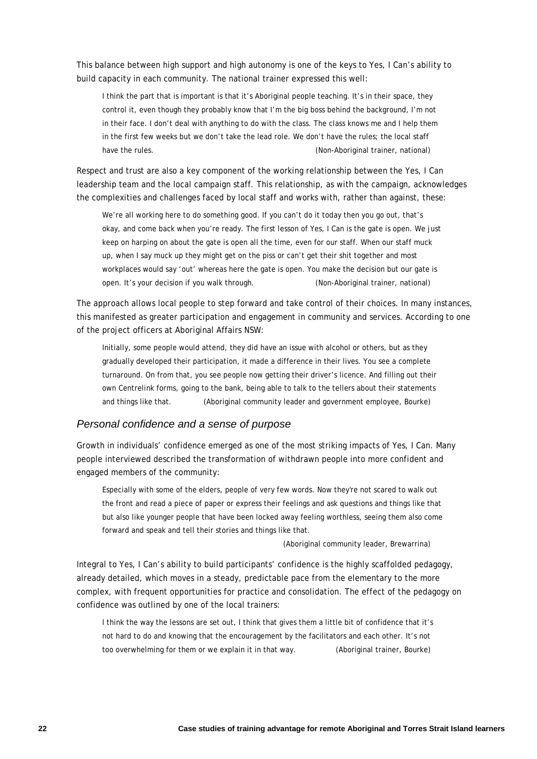This balance between high support and high autonomy is one of the keys to Yes, I Can's ability to build capacity in each community. The national trainer expressed this well:

I think the part that is important is that it's Aboriginal people teaching. It's in their space, they control it, even though they probably know that I'm the big boss behind the background, I'm not in their face. I don't deal with anything to do with the class. The class knows me and I help them in the first few weeks but we don't take the lead role. We don't have the rules; the local staff have the rules. The rules is not contained the rules of the rules of the rules of the rules of the rules of the rules of the rules of the rules of the rules of the rules of the rules of the rules of the rules of the rules

Respect and trust are also a key component of the working relationship between the Yes, I Can leadership team and the local campaign staff. This relationship, as with the campaign, acknowledges the complexities and challenges faced by local staff and works with, rather than against, these:

We're all working here to do something good. If you can't do it today then you go out, that's okay, and come back when you're ready. The first lesson of Yes, I Can is the gate is open. We just keep on harping on about the gate is open all the time, even for our staff. When our staff muck up, when I say muck up they might get on the piss or can't get their shit together and most workplaces would say 'out' whereas here the gate is open. You make the decision but our gate is open. It's your decision if you walk through. (Non-Aboriginal trainer, national)

The approach allows local people to step forward and take control of their choices. In many instances, this manifested as greater participation and engagement in community and services. According to one of the project officers at Aboriginal Affairs NSW:

Initially, some people would attend, they did have an issue with alcohol or others, but as they gradually developed their participation, it made a difference in their lives. You see a complete turnaround. On from that, you see people now getting their driver's licence. And filling out their own Centrelink forms, going to the bank, being able to talk to the tellers about their statements and things like that. (Aboriginal community leader and government employee, Bourke)

#### *Personal confidence and a sense of purpose*

Growth in individuals' confidence emerged as one of the most striking impacts of Yes, I Can. Many people interviewed described the transformation of withdrawn people into more confident and engaged members of the community:

Especially with some of the elders, people of very few words. Now they're not scared to walk out the front and read a piece of paper or express their feelings and ask questions and things like that but also like younger people that have been locked away feeling worthless, seeing them also come forward and speak and tell their stories and things like that.

#### (Aboriginal community leader, Brewarrina)

Integral to Yes, I Can's ability to build participants' confidence is the highly scaffolded pedagogy, already detailed, which moves in a steady, predictable pace from the elementary to the more complex, with frequent opportunities for practice and consolidation. The effect of the pedagogy on confidence was outlined by one of the local trainers:

I think the way the lessons are set out, I think that gives them a little bit of confidence that it's not hard to do and knowing that the encouragement by the facilitators and each other. It's not too overwhelming for them or we explain it in that way. (Aboriginal trainer, Bourke)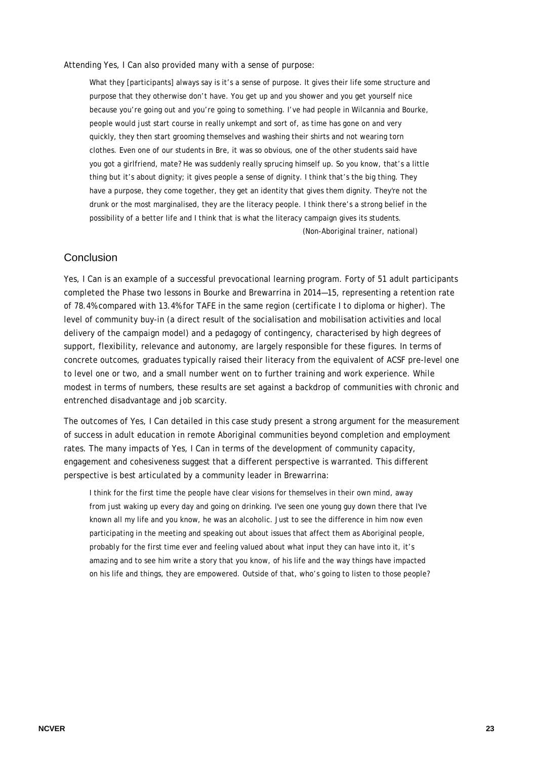Attending Yes, I Can also provided many with a sense of purpose:

What they [participants] always say is it's a sense of purpose. It gives their life some structure and purpose that they otherwise don't have. You get up and you shower and you get yourself nice because you're going out and you're going to something. I've had people in Wilcannia and Bourke, people would just start course in really unkempt and sort of, as time has gone on and very quickly, they then start grooming themselves and washing their shirts and not wearing torn clothes. Even one of our students in Bre, it was so obvious, one of the other students said have you got a girlfriend, mate? He was suddenly really sprucing himself up. So you know, that's a little thing but it's about dignity; it gives people a sense of dignity. I think that's the big thing. They have a purpose, they come together, they get an identity that gives them dignity. They're not the drunk or the most marginalised, they are the literacy people. I think there's a strong belief in the possibility of a better life and I think that is what the literacy campaign gives its students. (Non-Aboriginal trainer, national)

#### **Conclusion**

Yes, I Can is an example of a successful prevocational learning program. Forty of 51 adult participants completed the Phase two lessons in Bourke and Brewarrina in 2014—15, representing a retention rate of 78.4% compared with 13.4% for TAFE in the same region (certificate I to diploma or higher). The level of community buy-in (a direct result of the socialisation and mobilisation activities and local delivery of the campaign model) and a pedagogy of contingency, characterised by high degrees of support, flexibility, relevance and autonomy, are largely responsible for these figures. In terms of concrete outcomes, graduates typically raised their literacy from the equivalent of ACSF pre-level one to level one or two, and a small number went on to further training and work experience. While modest in terms of numbers, these results are set against a backdrop of communities with chronic and entrenched disadvantage and job scarcity.

The outcomes of Yes, I Can detailed in this case study present a strong argument for the measurement of success in adult education in remote Aboriginal communities beyond completion and employment rates. The many impacts of Yes, I Can in terms of the development of community capacity, engagement and cohesiveness suggest that a different perspective is warranted. This different perspective is best articulated by a community leader in Brewarrina:

I think for the first time the people have clear visions for themselves in their own mind, away from just waking up every day and going on drinking. I've seen one young guy down there that I've known all my life and you know, he was an alcoholic. Just to see the difference in him now even participating in the meeting and speaking out about issues that affect them as Aboriginal people, probably for the first time ever and feeling valued about what input they can have into it, it's amazing and to see him write a story that you know, of his life and the way things have impacted on his life and things, they are empowered. Outside of that, who's going to listen to those people?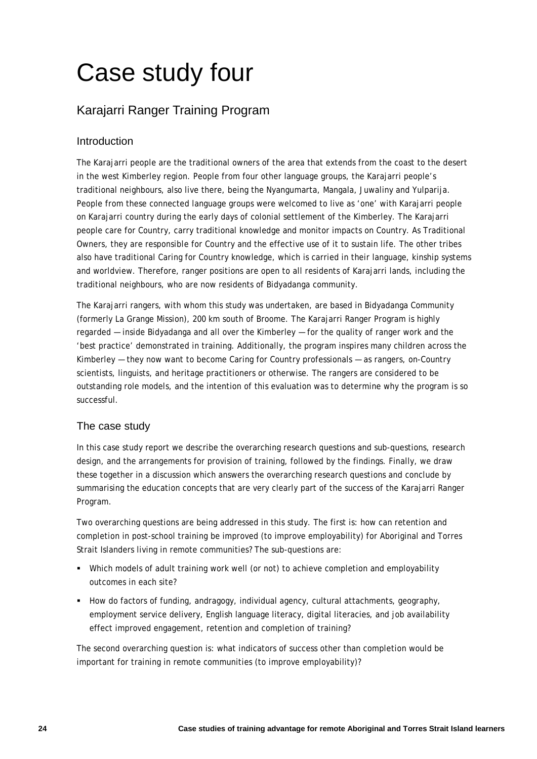# Case study four

# Karajarri Ranger Training Program

# Introduction

The Karajarri people are the traditional owners of the area that extends from the coast to the desert in the west Kimberley region. People from four other language groups, the Karajarri people's traditional neighbours, also live there, being the Nyangumarta, Mangala, Juwaliny and Yulparija. People from these connected language groups were welcomed to live as 'one' with Karajarri people on Karajarri country during the early days of colonial settlement of the Kimberley. The Karajarri people care for Country, carry traditional knowledge and monitor impacts on Country. As Traditional Owners, they are responsible for Country and the effective use of it to sustain life. The other tribes also have traditional Caring for Country knowledge, which is carried in their language, kinship systems and worldview. Therefore, ranger positions are open to all residents of Karajarri lands, including the traditional neighbours, who are now residents of Bidyadanga community.

The Karajarri rangers, with whom this study was undertaken, are based in Bidyadanga Community (formerly La Grange Mission), 200 km south of Broome. The Karajarri Ranger Program is highly regarded — inside Bidyadanga and all over the Kimberley — for the quality of ranger work and the 'best practice' demonstrated in training. Additionally, the program inspires many children across the Kimberley — they now want to become Caring for Country professionals — as rangers, on-Country scientists, linguists, and heritage practitioners or otherwise. The rangers are considered to be outstanding role models, and the intention of this evaluation was to determine why the program is so successful.

# The case study

In this case study report we describe the overarching research questions and sub-questions, research design, and the arrangements for provision of training, followed by the findings. Finally, we draw these together in a discussion which answers the overarching research questions and conclude by summarising the education concepts that are very clearly part of the success of the Karajarri Ranger Program.

Two overarching questions are being addressed in this study. The first is: how can retention and completion in post-school training be improved (to improve employability) for Aboriginal and Torres Strait Islanders living in remote communities? The sub-questions are:

- Which models of adult training work well (or not) to achieve completion and employability outcomes in each site?
- How do factors of funding, andragogy, individual agency, cultural attachments, geography, employment service delivery, English language literacy, digital literacies, and job availability effect improved engagement, retention and completion of training?

The second overarching question is: what indicators of success other than completion would be important for training in remote communities (to improve employability)?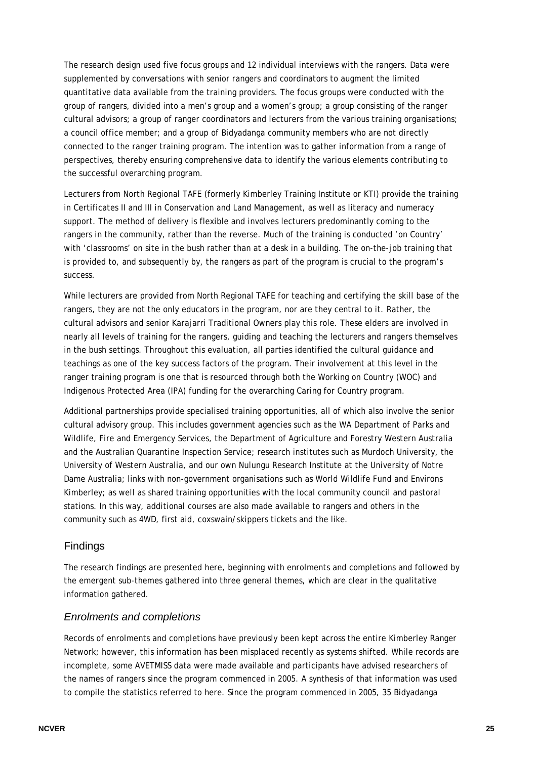The research design used five focus groups and 12 individual interviews with the rangers. Data were supplemented by conversations with senior rangers and coordinators to augment the limited quantitative data available from the training providers. The focus groups were conducted with the group of rangers, divided into a men's group and a women's group; a group consisting of the ranger cultural advisors; a group of ranger coordinators and lecturers from the various training organisations; a council office member; and a group of Bidyadanga community members who are not directly connected to the ranger training program. The intention was to gather information from a range of perspectives, thereby ensuring comprehensive data to identify the various elements contributing to the successful overarching program.

Lecturers from North Regional TAFE (formerly Kimberley Training Institute or KTI) provide the training in Certificates II and III in Conservation and Land Management, as well as literacy and numeracy support. The method of delivery is flexible and involves lecturers predominantly coming to the rangers in the community, rather than the reverse. Much of the training is conducted 'on Country' with 'classrooms' on site in the bush rather than at a desk in a building. The on-the-job training that is provided to, and subsequently by, the rangers as part of the program is crucial to the program's success.

While lecturers are provided from North Regional TAFE for teaching and certifying the skill base of the rangers, they are not the only educators in the program, nor are they central to it. Rather, the cultural advisors and senior Karajarri Traditional Owners play this role. These elders are involved in nearly all levels of training for the rangers, guiding and teaching the lecturers and rangers themselves in the bush settings. Throughout this evaluation, all parties identified the cultural guidance and teachings as one of the key success factors of the program. Their involvement at this level in the ranger training program is one that is resourced through both the Working on Country (WOC) and Indigenous Protected Area (IPA) funding for the overarching Caring for Country program.

Additional partnerships provide specialised training opportunities, all of which also involve the senior cultural advisory group. This includes government agencies such as the WA Department of Parks and Wildlife, Fire and Emergency Services, the Department of Agriculture and Forestry Western Australia and the Australian Quarantine Inspection Service; research institutes such as Murdoch University, the University of Western Australia, and our own Nulungu Research Institute at the University of Notre Dame Australia; links with non-government organisations such as World Wildlife Fund and Environs Kimberley; as well as shared training opportunities with the local community council and pastoral stations. In this way, additional courses are also made available to rangers and others in the community such as 4WD, first aid, coxswain/skippers tickets and the like.

#### Findings

The research findings are presented here, beginning with enrolments and completions and followed by the emergent sub-themes gathered into three general themes, which are clear in the qualitative information gathered.

## *Enrolments and completions*

Records of enrolments and completions have previously been kept across the entire Kimberley Ranger Network; however, this information has been misplaced recently as systems shifted. While records are incomplete, some AVETMISS data were made available and participants have advised researchers of the names of rangers since the program commenced in 2005. A synthesis of that information was used to compile the statistics referred to here. Since the program commenced in 2005, 35 Bidyadanga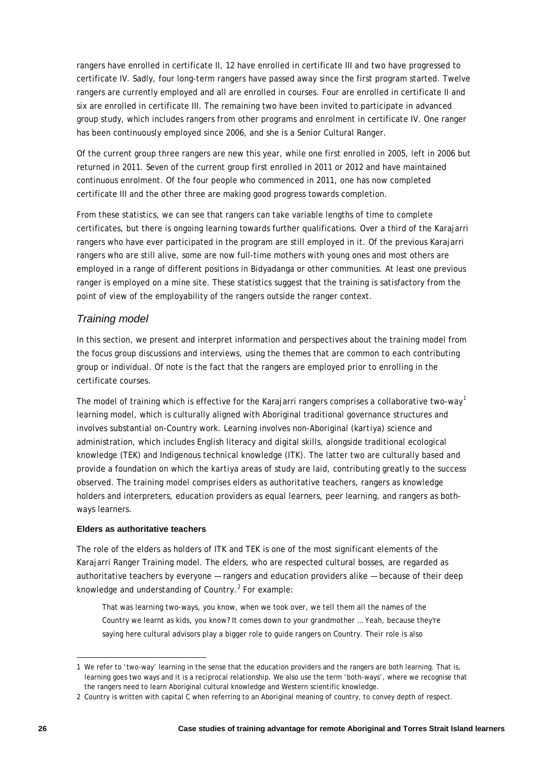rangers have enrolled in certificate II, 12 have enrolled in certificate III and two have progressed to certificate IV. Sadly, four long-term rangers have passed away since the first program started. Twelve rangers are currently employed and all are enrolled in courses. Four are enrolled in certificate II and six are enrolled in certificate III. The remaining two have been invited to participate in advanced group study, which includes rangers from other programs and enrolment in certificate IV. One ranger has been continuously employed since 2006, and she is a Senior Cultural Ranger.

Of the current group three rangers are new this year, while one first enrolled in 2005, left in 2006 but returned in 2011. Seven of the current group first enrolled in 2011 or 2012 and have maintained continuous enrolment. Of the four people who commenced in 2011, one has now completed certificate III and the other three are making good progress towards completion.

From these statistics, we can see that rangers can take variable lengths of time to complete certificates, but there is ongoing learning towards further qualifications. Over a third of the Karajarri rangers who have ever participated in the program are still employed in it. Of the previous Karajarri rangers who are still alive, some are now full-time mothers with young ones and most others are employed in a range of different positions in Bidyadanga or other communities. At least one previous ranger is employed on a mine site. These statistics suggest that the training is satisfactory from the point of view of the employability of the rangers outside the ranger context.

## *Training model*

In this section, we present and interpret information and perspectives about the training model from the focus group discussions and interviews, using the themes that are common to each contributing group or individual. Of note is the fact that the rangers are employed prior to enrolling in the certificate courses.

The model of training which is effective for the Karajarri rangers comprises a collaborative two-way<sup>[1](#page-25-0)</sup> learning model, which is culturally aligned with Aboriginal traditional governance structures and involves substantial on-Country work. Learning involves non-Aboriginal (*kartiya*) science and administration, which includes English literacy and digital skills, alongside traditional ecological knowledge (TEK) and Indigenous technical knowledge (ITK). The latter two are culturally based and provide a foundation on which the *kartiya* areas of study are laid, contributing greatly to the success observed. The training model comprises elders as authoritative teachers, rangers as knowledge holders and interpreters, education providers as equal learners, peer learning, and rangers as bothways learners.

#### **Elders as authoritative teachers**

The role of the elders as holders of ITK and TEK is one of the most significant elements of the Karajarri Ranger Training model. The elders, who are respected cultural bosses, are regarded as authoritative teachers by everyone — rangers and education providers alike — because of their deep knowledge and understanding of Country. [2](#page-25-1) For example:

That was learning two-ways, you know, when we took over, we tell them all the names of the Country we learnt as kids, you know? It comes down to your grandmother … Yeah, because they're saying here cultural advisors play a bigger role to guide rangers on Country. Their role is also

-

<span id="page-25-0"></span><sup>1</sup> We refer to 'two-way' learning in the sense that the education providers and the rangers are both learning. That is, learning goes two ways and it is a reciprocal relationship. We also use the term 'both-ways', where we recognise that the rangers need to learn Aboriginal cultural knowledge and Western scientific knowledge.

<span id="page-25-1"></span><sup>2</sup> Country is written with capital C when referring to an Aboriginal meaning of country, to convey depth of respect.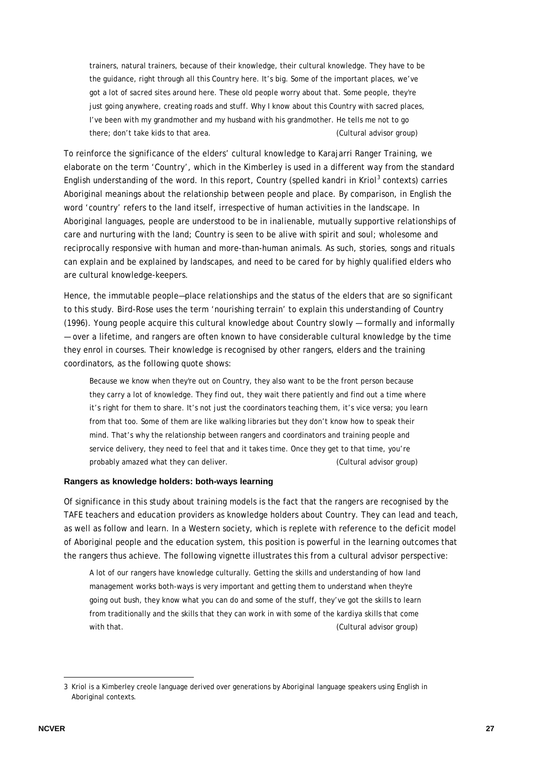trainers, natural trainers, because of their knowledge, their cultural knowledge. They have to be the guidance, right through all this Country here. It's big. Some of the important places, we've got a lot of sacred sites around here. These old people worry about that. Some people, they're just going anywhere, creating roads and stuff. Why I know about this Country with sacred places, I've been with my grandmother and my husband with his grandmother. He tells me not to go there; don't take kids to that area. (Cultural advisor group)

To reinforce the significance of the elders' cultural knowledge to Karajarri Ranger Training, we elaborate on the term 'Country', which in the Kimberley is used in a different way from the standard English understanding of the word. In this report, Country (spelled *kandri* in Kriol<sup>[3](#page-26-0)</sup> contexts) carries Aboriginal meanings about the relationship between people and place. By comparison, in English the word 'country' refers to the land itself, irrespective of human activities in the landscape. In Aboriginal languages, people are understood to be in inalienable, mutually supportive relationships of care and nurturing with the land; Country is seen to be alive with spirit and soul; wholesome and reciprocally responsive with human and more-than-human animals. As such, stories, songs and rituals can explain and be explained by landscapes, and need to be cared for by highly qualified elders who are cultural knowledge-keepers.

Hence, the immutable people—place relationships and the status of the elders that are so significant to this study. Bird-Rose uses the term 'nourishing terrain' to explain this understanding of Country (1996). Young people acquire this cultural knowledge about Country slowly — formally and informally — over a lifetime, and rangers are often known to have considerable cultural knowledge by the time they enrol in courses. Their knowledge is recognised by other rangers, elders and the training coordinators, as the following quote shows:

Because we know when they're out on Country, they also want to be the front person because they carry a lot of knowledge. They find out, they wait there patiently and find out a time where it's right for them to share. It's not just the coordinators teaching them, it's vice versa; you learn from that too. Some of them are like walking libraries but they don't know how to speak their mind. That's why the relationship between rangers and coordinators and training people and service delivery, they need to feel that and it takes time. Once they get to that time, you're probably amazed what they can deliver. (Cultural advisor group)

#### **Rangers as knowledge holders: both-ways learning**

Of significance in this study about training models is the fact that the rangers are recognised by the TAFE teachers and education providers as knowledge holders about Country. They can lead and teach, as well as follow and learn. In a Western society, which is replete with reference to the deficit model of Aboriginal people and the education system, this position is powerful in the learning outcomes that the rangers thus achieve. The following vignette illustrates this from a cultural advisor perspective:

A lot of our rangers have knowledge culturally. Getting the skills and understanding of how land management works both-ways is very important and getting them to understand when they're going out bush, they know what you can do and some of the stuff, they've got the skills to learn from traditionally and the skills that they can work in with some of the *kardiya* skills that come with that. **Example 20** is a set of the control of the control of the control of the control of the control of the control of the control of the control of the control of the control of the control of the control of the co

-

<span id="page-26-0"></span><sup>3</sup> Kriol is a Kimberley creole language derived over generations by Aboriginal language speakers using English in Aboriginal contexts.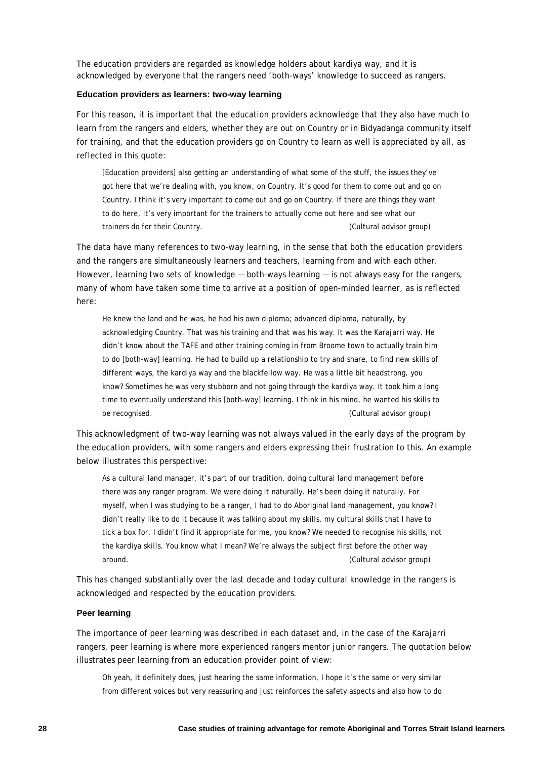The education providers are regarded as knowledge holders about *kardiya* way, and it is acknowledged by everyone that the rangers need 'both-ways' knowledge to succeed as rangers.

#### **Education providers as learners: two-way learning**

For this reason, it is important that the education providers acknowledge that they also have much to learn from the rangers and elders, whether they are out on Country or in Bidyadanga community itself for training, and that the education providers go on Country to learn as well is appreciated by all, as reflected in this quote:

[Education providers] also getting an understanding of what some of the stuff, the issues they've got here that we're dealing with, you know, on Country. It's good for them to come out and go on Country. I think it's very important to come out and go on Country. If there are things they want to do here, it's very important for the trainers to actually come out here and see what our trainers do for their Country. (Cultural advisor group)

The data have many references to two-way learning, in the sense that both the education providers and the rangers are simultaneously learners and teachers, learning from and with each other. However, learning two sets of knowledge — both-ways learning — is not always easy for the rangers, many of whom have taken some time to arrive at a position of open-minded learner, as is reflected here:

He knew the land and he was, he had his own diploma; advanced diploma, naturally, by acknowledging Country. That was his training and that was his way. It was the Karajarri way. He didn't know about the TAFE and other training coming in from Broome town to actually train him to do [both-way] learning. He had to build up a relationship to try and share, to find new skills of different ways, the *kardiya* way and the blackfellow way. He was a little bit headstrong, you know? Sometimes he was very stubborn and not going through the *kardiya* way. It took him a long time to eventually understand this [both-way] learning. I think in his mind, he wanted his skills to be recognised. (Cultural advisor group)

This acknowledgment of two-way learning was not always valued in the early days of the program by the education providers, with some rangers and elders expressing their frustration to this. An example below illustrates this perspective:

As a cultural land manager, it's part of our tradition, doing cultural land management before there was any ranger program. We were doing it naturally. He's been doing it naturally. For myself, when I was studying to be a ranger, I had to do Aboriginal land management, you know? I didn't really like to do it because it was talking about my skills, my cultural skills that I have to tick a box for. I didn't find it appropriate for me, you know? We needed to recognise his skills, not the *kardiya* skills. You know what I mean? We're always the subject first before the other way around. (Cultural advisor group)

This has changed substantially over the last decade and today cultural knowledge in the rangers is acknowledged and respected by the education providers.

#### **Peer learning**

The importance of peer learning was described in each dataset and, in the case of the Karajarri rangers, peer learning is where more experienced rangers mentor junior rangers. The quotation below illustrates peer learning from an education provider point of view:

Oh yeah, it definitely does, just hearing the same information, I hope it's the same or very similar from different voices but very reassuring and just reinforces the safety aspects and also how to do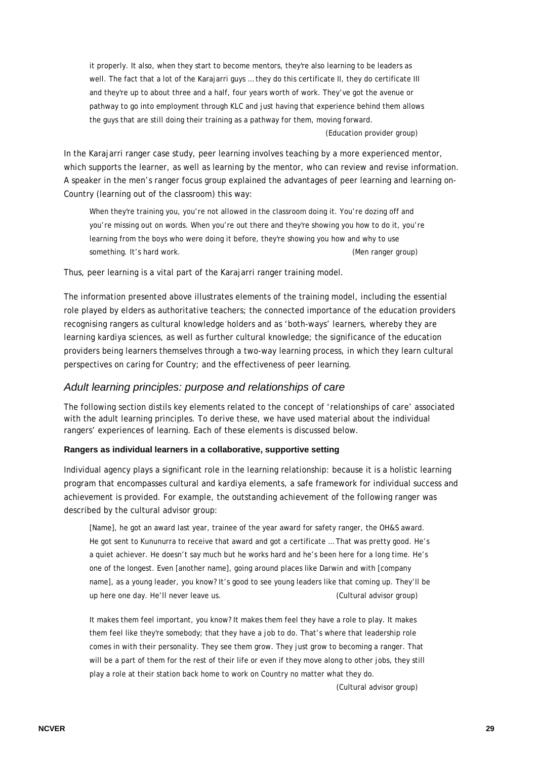it properly. It also, when they start to become mentors, they're also learning to be leaders as well. The fact that a lot of the Karajarri guys … they do this certificate II, they do certificate III and they're up to about three and a half, four years worth of work. They've got the avenue or pathway to go into employment through KLC and just having that experience behind them allows the guys that are still doing their training as a pathway for them, moving forward.

(Education provider group)

In the Karajarri ranger case study, peer learning involves teaching by a more experienced mentor, which supports the learner, as well as learning by the mentor, who can review and revise information. A speaker in the men's ranger focus group explained the advantages of peer learning and learning on-Country (learning out of the classroom) this way:

When they're training you, you're not allowed in the classroom doing it. You're dozing off and you're missing out on words. When you're out there and they're showing you how to do it, you're learning from the boys who were doing it before, they're showing you how and why to use something. It's hard work.  $($ Men ranger group)

Thus, peer learning is a vital part of the Karajarri ranger training model.

The information presented above illustrates elements of the training model, including the essential role played by elders as authoritative teachers; the connected importance of the education providers recognising rangers as cultural knowledge holders and as 'both-ways' learners, whereby they are learning *kardiya* sciences, as well as further cultural knowledge; the significance of the education providers being learners themselves through a two-way learning process, in which they learn cultural perspectives on caring for Country; and the effectiveness of peer learning.

#### *Adult learning principles: purpose and relationships of care*

The following section distils key elements related to the concept of 'relationships of care' associated with the adult learning principles. To derive these, we have used material about the individual rangers' experiences of learning. Each of these elements is discussed below.

#### **Rangers as individual learners in a collaborative, supportive setting**

Individual agency plays a significant role in the learning relationship: because it is a holistic learning program that encompasses cultural and *kardiya* elements, a safe framework for individual success and achievement is provided. For example, the outstanding achievement of the following ranger was described by the cultural advisor group:

[Name], he got an award last year, trainee of the year award for safety ranger, the OH&S award. He got sent to Kununurra to receive that award and got a certificate … That was pretty good. He's a quiet achiever. He doesn't say much but he works hard and he's been here for a long time. He's one of the longest. Even [another name], going around places like Darwin and with [company name], as a young leader, you know? It's good to see young leaders like that coming up. They'll be up here one day. He'll never leave us. (Cultural advisor group)

It makes them feel important, you know? It makes them feel they have a role to play. It makes them feel like they're somebody; that they have a job to do. That's where that leadership role comes in with their personality. They see them grow. They just grow to becoming a ranger. That will be a part of them for the rest of their life or even if they move along to other jobs, they still play a role at their station back home to work on Country no matter what they do.

(Cultural advisor group)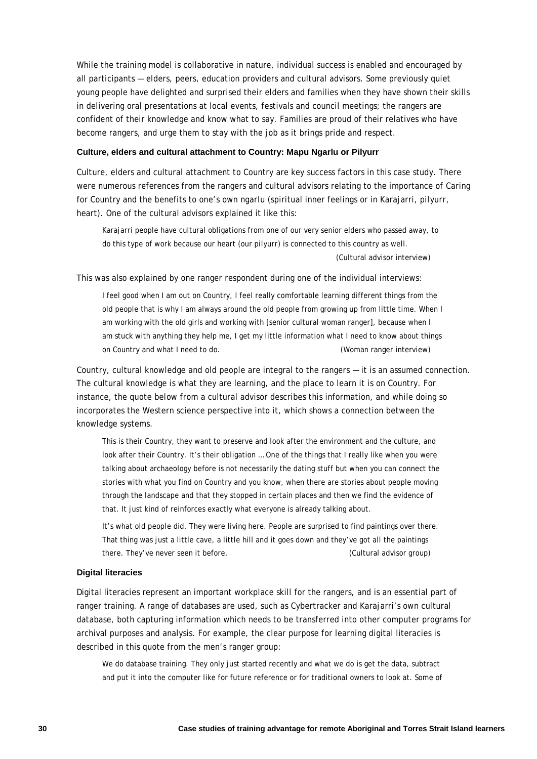While the training model is collaborative in nature, individual success is enabled and encouraged by all participants — elders, peers, education providers and cultural advisors. Some previously quiet young people have delighted and surprised their elders and families when they have shown their skills in delivering oral presentations at local events, festivals and council meetings; the rangers are confident of their knowledge and know what to say. Families are proud of their relatives who have become rangers, and urge them to stay with the job as it brings pride and respect.

#### **Culture, elders and cultural attachment to Country: Mapu Ngarlu or Pilyurr**

Culture, elders and cultural attachment to Country are key success factors in this case study. There were numerous references from the rangers and cultural advisors relating to the importance of Caring for Country and the benefits to one's own *ngarlu* (spiritual inner feelings or in Karajarri, *pilyurr*, heart). One of the cultural advisors explained it like this:

Karajarri people have cultural obligations from one of our very senior elders who passed away, to do this type of work because our heart (our *pilyurr*) is connected to this country as well. (Cultural advisor interview)

This was also explained by one ranger respondent during one of the individual interviews:

I feel good when I am out on Country, I feel really comfortable learning different things from the old people that is why I am always around the old people from growing up from little time. When I am working with the old girls and working with [senior cultural woman ranger], because when I am stuck with anything they help me, I get my little information what I need to know about things on Country and what I need to do. (Woman ranger interview)

Country, cultural knowledge and old people are integral to the rangers — it is an assumed connection. The cultural knowledge is what they are learning, and the place to learn it is on Country. For instance, the quote below from a cultural advisor describes this information, and while doing so incorporates the Western science perspective into it, which shows a connection between the knowledge systems.

This is their Country, they want to preserve and look after the environment and the culture, and look after their Country. It's their obligation … One of the things that I really like when you were talking about archaeology before is not necessarily the dating stuff but when you can connect the stories with what you find on Country and you know, when there are stories about people moving through the landscape and that they stopped in certain places and then we find the evidence of that. It just kind of reinforces exactly what everyone is already talking about.

It's what old people did. They were living here. People are surprised to find paintings over there. That thing was just a little cave, a little hill and it goes down and they've got all the paintings there. They've never seen it before. (Cultural advisor group)

#### **Digital literacies**

Digital literacies represent an important workplace skill for the rangers, and is an essential part of ranger training. A range of databases are used, such as Cybertracker and Karajarri's own cultural database, both capturing information which needs to be transferred into other computer programs for archival purposes and analysis. For example, the clear purpose for learning digital literacies is described in this quote from the men's ranger group:

We do database training. They only just started recently and what we do is get the data, subtract and put it into the computer like for future reference or for traditional owners to look at. Some of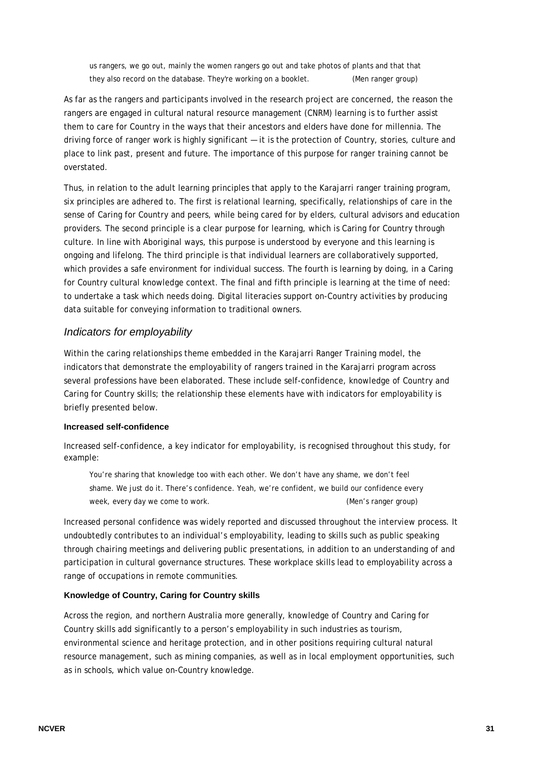us rangers, we go out, mainly the women rangers go out and take photos of plants and that that they also record on the database. They're working on a booklet. (Men ranger group)

As far as the rangers and participants involved in the research project are concerned, the reason the rangers are engaged in cultural natural resource management (CNRM) learning is to further assist them to care for Country in the ways that their ancestors and elders have done for millennia. The driving force of ranger work is highly significant — it is the protection of Country, stories, culture and place to link past, present and future. The importance of this purpose for ranger training cannot be overstated.

Thus, in relation to the adult learning principles that apply to the Karajarri ranger training program, six principles are adhered to. The first is relational learning, specifically, relationships of care in the sense of Caring for Country and peers, while being cared for by elders, cultural advisors and education providers. The second principle is a clear purpose for learning, which is Caring for Country through culture. In line with Aboriginal ways, this purpose is understood by everyone and this learning is ongoing and lifelong. The third principle is that individual learners are collaboratively supported, which provides a safe environment for individual success. The fourth is learning by doing, in a Caring for Country cultural knowledge context. The final and fifth principle is learning at the time of need: to undertake a task which needs doing. Digital literacies support on-Country activities by producing data suitable for conveying information to traditional owners.

#### *Indicators for employability*

Within the caring relationships theme embedded in the Karajarri Ranger Training model, the indicators that demonstrate the employability of rangers trained in the Karajarri program across several professions have been elaborated. These include self-confidence, knowledge of Country and Caring for Country skills; the relationship these elements have with indicators for employability is briefly presented below.

#### **Increased self-confidence**

Increased self-confidence, a key indicator for employability, is recognised throughout this study, for example:

You're sharing that knowledge too with each other. We don't have any shame, we don't feel shame. We just do it. There's confidence. Yeah, we're confident, we build our confidence every week, every day we come to work.  $(1, 0, 0)$  week, every day we come to work.

Increased personal confidence was widely reported and discussed throughout the interview process. It undoubtedly contributes to an individual's employability, leading to skills such as public speaking through chairing meetings and delivering public presentations, in addition to an understanding of and participation in cultural governance structures. These workplace skills lead to employability across a range of occupations in remote communities.

#### **Knowledge of Country, Caring for Country skills**

Across the region, and northern Australia more generally, knowledge of Country and Caring for Country skills add significantly to a person's employability in such industries as tourism, environmental science and heritage protection, and in other positions requiring cultural natural resource management, such as mining companies, as well as in local employment opportunities, such as in schools, which value on-Country knowledge.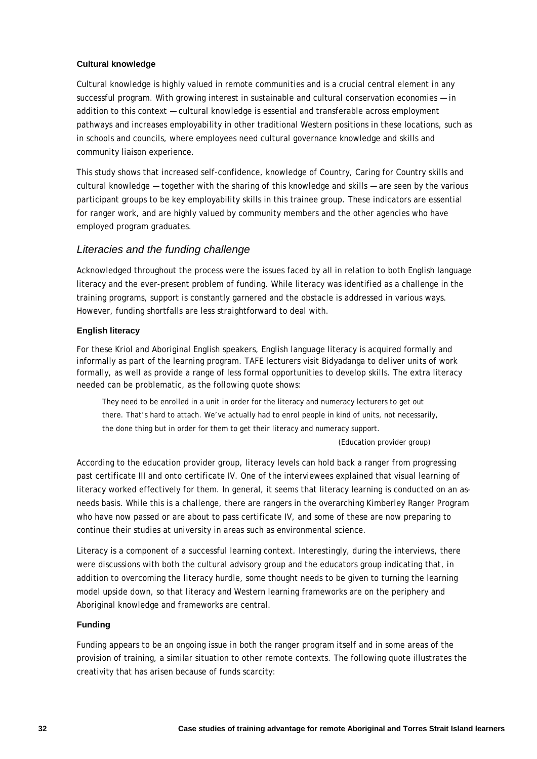#### **Cultural knowledge**

Cultural knowledge is highly valued in remote communities and is a crucial central element in any successful program. With growing interest in sustainable and cultural conservation economies — in addition to this context — cultural knowledge is essential and transferable across employment pathways and increases employability in other traditional Western positions in these locations, such as in schools and councils, where employees need cultural governance knowledge and skills and community liaison experience.

This study shows that increased self-confidence, knowledge of Country, Caring for Country skills and cultural knowledge — together with the sharing of this knowledge and skills — are seen by the various participant groups to be key employability skills in this trainee group. These indicators are essential for ranger work, and are highly valued by community members and the other agencies who have employed program graduates.

#### *Literacies and the funding challenge*

Acknowledged throughout the process were the issues faced by all in relation to both English language literacy and the ever-present problem of funding. While literacy was identified as a challenge in the training programs, support is constantly garnered and the obstacle is addressed in various ways. However, funding shortfalls are less straightforward to deal with.

#### **English literacy**

For these Kriol and Aboriginal English speakers, English language literacy is acquired formally and informally as part of the learning program. TAFE lecturers visit Bidyadanga to deliver units of work formally, as well as provide a range of less formal opportunities to develop skills. The extra literacy needed can be problematic, as the following quote shows:

They need to be enrolled in a unit in order for the literacy and numeracy lecturers to get out there. That's hard to attach. We've actually had to enrol people in kind of units, not necessarily, the done thing but in order for them to get their literacy and numeracy support.

(Education provider group)

According to the education provider group, literacy levels can hold back a ranger from progressing past certificate III and onto certificate IV. One of the interviewees explained that visual learning of literacy worked effectively for them. In general, it seems that literacy learning is conducted on an asneeds basis. While this is a challenge, there are rangers in the overarching Kimberley Ranger Program who have now passed or are about to pass certificate IV, and some of these are now preparing to continue their studies at university in areas such as environmental science.

Literacy is a component of a successful learning context. Interestingly, during the interviews, there were discussions with both the cultural advisory group and the educators group indicating that, in addition to overcoming the literacy hurdle, some thought needs to be given to turning the learning model upside down, so that literacy and Western learning frameworks are on the periphery and Aboriginal knowledge and frameworks are central.

#### **Funding**

Funding appears to be an ongoing issue in both the ranger program itself and in some areas of the provision of training, a similar situation to other remote contexts. The following quote illustrates the creativity that has arisen because of funds scarcity: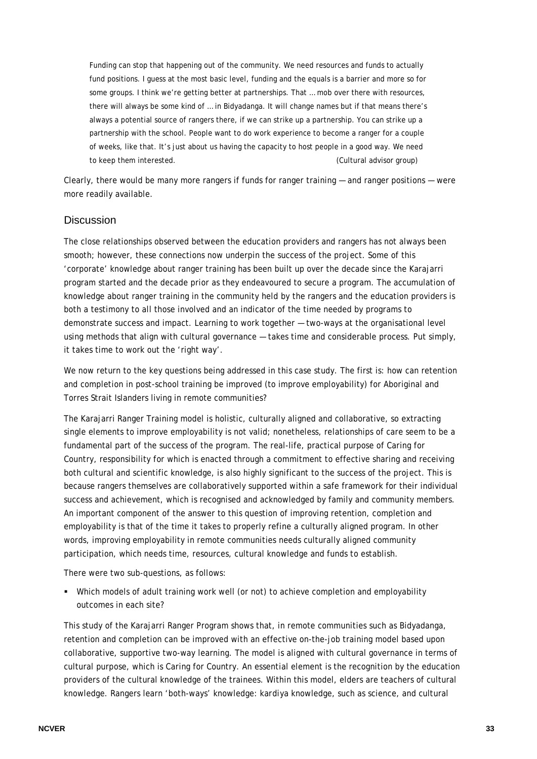Funding can stop that happening out of the community. We need resources and funds to actually fund positions. I guess at the most basic level, funding and the equals is a barrier and more so for some groups. I think we're getting better at partnerships. That ... mob over there with resources, there will always be some kind of … in Bidyadanga. It will change names but if that means there's always a potential source of rangers there, if we can strike up a partnership. You can strike up a partnership with the school. People want to do work experience to become a ranger for a couple of weeks, like that. It's just about us having the capacity to host people in a good way. We need to keep them interested. (Cultural advisor group)

Clearly, there would be many more rangers if funds for ranger training — and ranger positions — were more readily available.

#### **Discussion**

The close relationships observed between the education providers and rangers has not always been smooth; however, these connections now underpin the success of the project. Some of this 'corporate' knowledge about ranger training has been built up over the decade since the Karajarri program started and the decade prior as they endeavoured to secure a program. The accumulation of knowledge about ranger training in the community held by the rangers and the education providers is both a testimony to all those involved and an indicator of the time needed by programs to demonstrate success and impact. Learning to work together — two-ways at the organisational level using methods that align with cultural governance — takes time and considerable process. Put simply, it takes time to work out the 'right way'.

We now return to the key questions being addressed in this case study. The first is: how can retention and completion in post-school training be improved (to improve employability) for Aboriginal and Torres Strait Islanders living in remote communities?

The Karajarri Ranger Training model is holistic, culturally aligned and collaborative, so extracting single elements to improve employability is not valid; nonetheless, relationships of care seem to be a fundamental part of the success of the program. The real-life, practical purpose of Caring for Country, responsibility for which is enacted through a commitment to effective sharing and receiving both cultural and scientific knowledge, is also highly significant to the success of the project. This is because rangers themselves are collaboratively supported within a safe framework for their individual success and achievement, which is recognised and acknowledged by family and community members. An important component of the answer to this question of improving retention, completion and employability is that of the time it takes to properly refine a culturally aligned program. In other words, improving employability in remote communities needs culturally aligned community participation, which needs time, resources, cultural knowledge and funds to establish.

There were two sub-questions, as follows:

 Which models of adult training work well (or not) to achieve completion and employability outcomes in each site?

This study of the Karajarri Ranger Program shows that, in remote communities such as Bidyadanga, retention and completion can be improved with an effective on-the-job training model based upon collaborative, supportive two-way learning. The model is aligned with cultural governance in terms of cultural purpose, which is Caring for Country. An essential element is the recognition by the education providers of the cultural knowledge of the trainees. Within this model, elders are teachers of cultural knowledge. Rangers learn 'both-ways' knowledge: *kardiya* knowledge, such as science, and cultural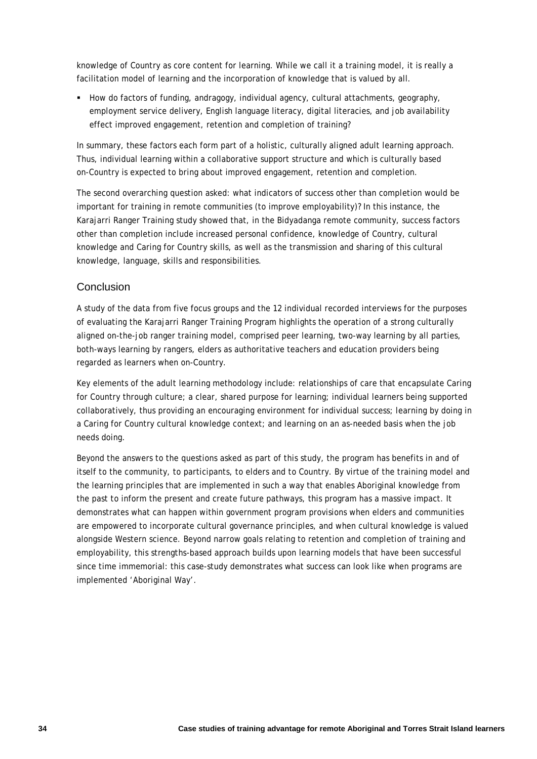knowledge of Country as core content for learning. While we call it a training model, it is really a facilitation model of learning and the incorporation of knowledge that is valued by all.

How do factors of funding, andragogy, individual agency, cultural attachments, geography, employment service delivery, English language literacy, digital literacies, and job availability effect improved engagement, retention and completion of training?

In summary, these factors each form part of a holistic, culturally aligned adult learning approach. Thus, individual learning within a collaborative support structure and which is culturally based on-Country is expected to bring about improved engagement, retention and completion.

The second overarching question asked: what indicators of success other than completion would be important for training in remote communities (to improve employability)? In this instance, the Karajarri Ranger Training study showed that, in the Bidyadanga remote community, success factors other than completion include increased personal confidence, knowledge of Country, cultural knowledge and Caring for Country skills, as well as the transmission and sharing of this cultural knowledge, language, skills and responsibilities.

### Conclusion

A study of the data from five focus groups and the 12 individual recorded interviews for the purposes of evaluating the Karajarri Ranger Training Program highlights the operation of a strong culturally aligned on-the-job ranger training model, comprised peer learning, two-way learning by all parties, both-ways learning by rangers, elders as authoritative teachers and education providers being regarded as learners when on-Country.

Key elements of the adult learning methodology include: relationships of care that encapsulate Caring for Country through culture; a clear, shared purpose for learning; individual learners being supported collaboratively, thus providing an encouraging environment for individual success; learning by doing in a Caring for Country cultural knowledge context; and learning on an as-needed basis when the job needs doing.

Beyond the answers to the questions asked as part of this study, the program has benefits in and of itself to the community, to participants, to elders and to Country. By virtue of the training model and the learning principles that are implemented in such a way that enables Aboriginal knowledge from the past to inform the present and create future pathways, this program has a massive impact. It demonstrates what can happen within government program provisions when elders and communities are empowered to incorporate cultural governance principles, and when cultural knowledge is valued alongside Western science. Beyond narrow goals relating to retention and completion of training and employability, this strengths-based approach builds upon learning models that have been successful since time immemorial: this case-study demonstrates what success can look like when programs are implemented 'Aboriginal Way'.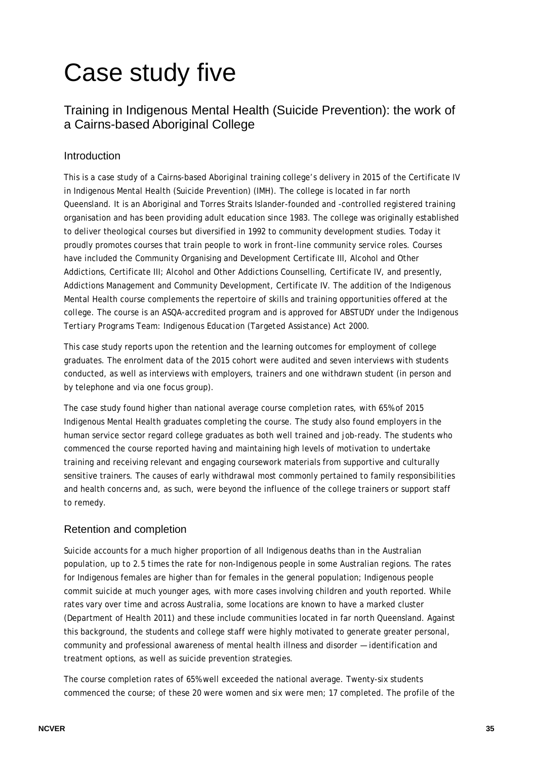# Case study five

# Training in Indigenous Mental Health (Suicide Prevention): the work of a Cairns-based Aboriginal College

# Introduction

This is a case study of a Cairns-based Aboriginal training college's delivery in 2015 of the Certificate IV in Indigenous Mental Health (Suicide Prevention) (IMH). The college is located in far north Queensland. It is an Aboriginal and Torres Straits Islander-founded and -controlled registered training organisation and has been providing adult education since 1983. The college was originally established to deliver theological courses but diversified in 1992 to community development studies. Today it proudly promotes courses that train people to work in front-line community service roles. Courses have included the Community Organising and Development Certificate III, Alcohol and Other Addictions, Certificate III; Alcohol and Other Addictions Counselling, Certificate IV, and presently, Addictions Management and Community Development, Certificate IV. The addition of the Indigenous Mental Health course complements the repertoire of skills and training opportunities offered at the college. The course is an ASQA-accredited program and is approved for ABSTUDY under the *Indigenous Tertiary Programs Team: Indigenous Education (Targeted Assistance) Act 2000*.

This case study reports upon the retention and the learning outcomes for employment of college graduates. The enrolment data of the 2015 cohort were audited and seven interviews with students conducted, as well as interviews with employers, trainers and one withdrawn student (in person and by telephone and via one focus group).

The case study found higher than national average course completion rates, with 65% of 2015 Indigenous Mental Health graduates completing the course. The study also found employers in the human service sector regard college graduates as both well trained and job-ready. The students who commenced the course reported having and maintaining high levels of motivation to undertake training and receiving relevant and engaging coursework materials from supportive and culturally sensitive trainers. The causes of early withdrawal most commonly pertained to family responsibilities and health concerns and, as such, were beyond the influence of the college trainers or support staff to remedy.

## Retention and completion

Suicide accounts for a much higher proportion of all Indigenous deaths than in the Australian population, up to 2.5 times the rate for non-Indigenous people in some Australian regions. The rates for Indigenous females are higher than for females in the general population; Indigenous people commit suicide at much younger ages, with more cases involving children and youth reported. While rates vary over time and across Australia, some locations are known to have a marked cluster (Department of Health 2011) and these include communities located in far north Queensland. Against this background, the students and college staff were highly motivated to generate greater personal, community and professional awareness of mental health illness and disorder — identification and treatment options, as well as suicide prevention strategies.

The course completion rates of 65% well exceeded the national average. Twenty-six students commenced the course; of these 20 were women and six were men; 17 completed. The profile of the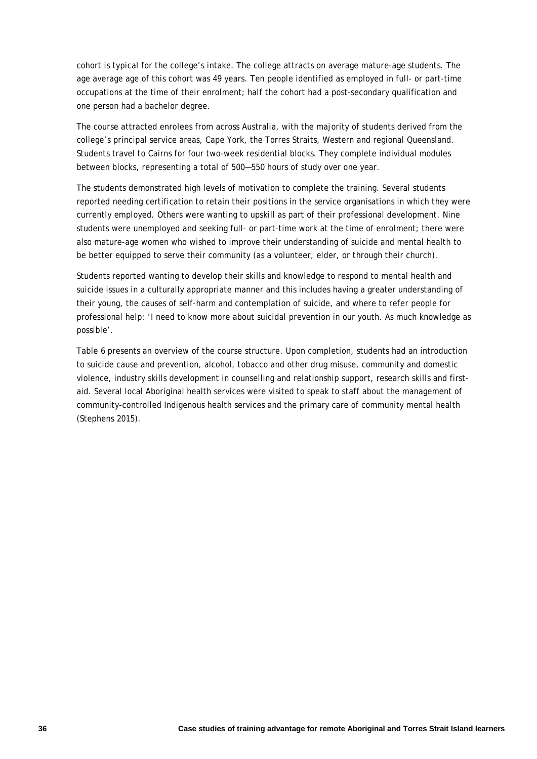cohort is typical for the college's intake. The college attracts on average mature-age students. The age average age of this cohort was 49 years. Ten people identified as employed in full- or part-time occupations at the time of their enrolment; half the cohort had a post-secondary qualification and one person had a bachelor degree.

The course attracted enrolees from across Australia, with the majority of students derived from the college's principal service areas, Cape York, the Torres Straits, Western and regional Queensland. Students travel to Cairns for four two-week residential blocks. They complete individual modules between blocks, representing a total of 500—550 hours of study over one year.

The students demonstrated high levels of motivation to complete the training. Several students reported needing certification to retain their positions in the service organisations in which they were currently employed. Others were wanting to upskill as part of their professional development. Nine students were unemployed and seeking full- or part-time work at the time of enrolment; there were also mature-age women who wished to improve their understanding of suicide and mental health to be better equipped to serve their community (as a volunteer, elder, or through their church).

Students reported wanting to develop their skills and knowledge to respond to mental health and suicide issues in a culturally appropriate manner and this includes having a greater understanding of their young, the causes of self-harm and contemplation of suicide, and where to refer people for professional help: 'I need to know more about suicidal prevention in our youth. As much knowledge as possible'.

Table 6 presents an overview of the course structure. Upon completion, students had an introduction to suicide cause and prevention, alcohol, tobacco and other drug misuse, community and domestic violence, industry skills development in counselling and relationship support, research skills and firstaid. Several local Aboriginal health services were visited to speak to staff about the management of community-controlled Indigenous health services and the primary care of community mental health (Stephens 2015).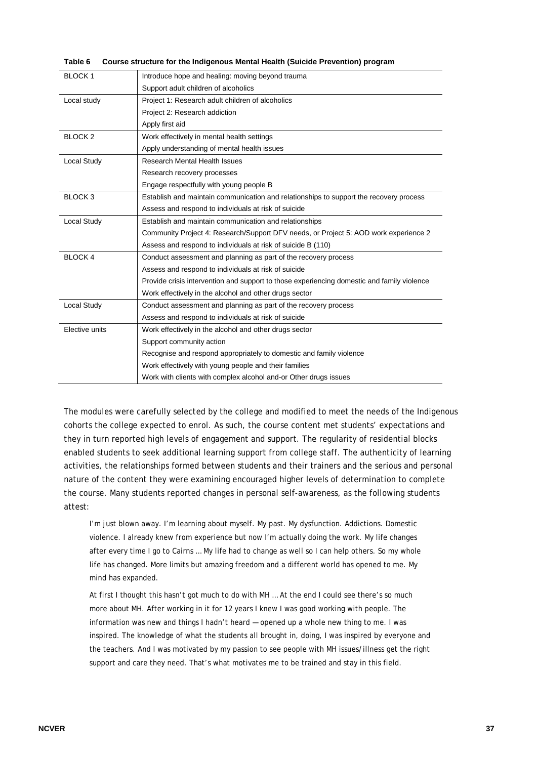|  | Table 6 Course structure for the Indigenous Mental Health (Suicide Prevention) program |  |
|--|----------------------------------------------------------------------------------------|--|
|--|----------------------------------------------------------------------------------------|--|

| BLOCK 1            | Introduce hope and healing: moving beyond trauma                                           |
|--------------------|--------------------------------------------------------------------------------------------|
|                    | Support adult children of alcoholics                                                       |
| Local study        | Project 1: Research adult children of alcoholics                                           |
|                    | Project 2: Research addiction                                                              |
|                    | Apply first aid                                                                            |
| BLOCK <sub>2</sub> | Work effectively in mental health settings                                                 |
|                    | Apply understanding of mental health issues                                                |
| Local Study        | Research Mental Health Issues                                                              |
|                    | Research recovery processes                                                                |
|                    | Engage respectfully with young people B                                                    |
| BLOCK <sub>3</sub> | Establish and maintain communication and relationships to support the recovery process     |
|                    | Assess and respond to individuals at risk of suicide                                       |
| <b>Local Study</b> | Establish and maintain communication and relationships                                     |
|                    | Community Project 4: Research/Support DFV needs, or Project 5: AOD work experience 2       |
|                    | Assess and respond to individuals at risk of suicide B (110)                               |
| <b>BLOCK 4</b>     | Conduct assessment and planning as part of the recovery process                            |
|                    | Assess and respond to individuals at risk of suicide                                       |
|                    | Provide crisis intervention and support to those experiencing domestic and family violence |
|                    | Work effectively in the alcohol and other drugs sector                                     |
| Local Study        | Conduct assessment and planning as part of the recovery process                            |
|                    | Assess and respond to individuals at risk of suicide                                       |
| Elective units     | Work effectively in the alcohol and other drugs sector                                     |
|                    | Support community action                                                                   |
|                    | Recognise and respond appropriately to domestic and family violence                        |
|                    | Work effectively with young people and their families                                      |
|                    | Work with clients with complex alcohol and-or Other drugs issues                           |

The modules were carefully selected by the college and modified to meet the needs of the Indigenous cohorts the college expected to enrol. As such, the course content met students' expectations and they in turn reported high levels of engagement and support. The regularity of residential blocks enabled students to seek additional learning support from college staff. The authenticity of learning activities, the relationships formed between students and their trainers and the serious and personal nature of the content they were examining encouraged higher levels of determination to complete the course. Many students reported changes in personal self-awareness, as the following students attest:

I'm just blown away. I'm learning about myself. My past. My dysfunction. Addictions. Domestic violence. I already knew from experience but now I'm actually doing the work. My life changes after every time I go to Cairns … My life had to change as well so I can help others. So my whole life has changed. More limits but amazing freedom and a different world has opened to me. My mind has expanded.

At first I thought this hasn't got much to do with MH … At the end I could see there's so much more about MH. After working in it for 12 years I knew I was good working with people. The information was new and things I hadn't heard — opened up a whole new thing to me. I was inspired. The knowledge of what the students all brought in, doing, I was inspired by everyone and the teachers. And I was motivated by my passion to see people with MH issues/illness get the right support and care they need. That's what motivates me to be trained and stay in this field.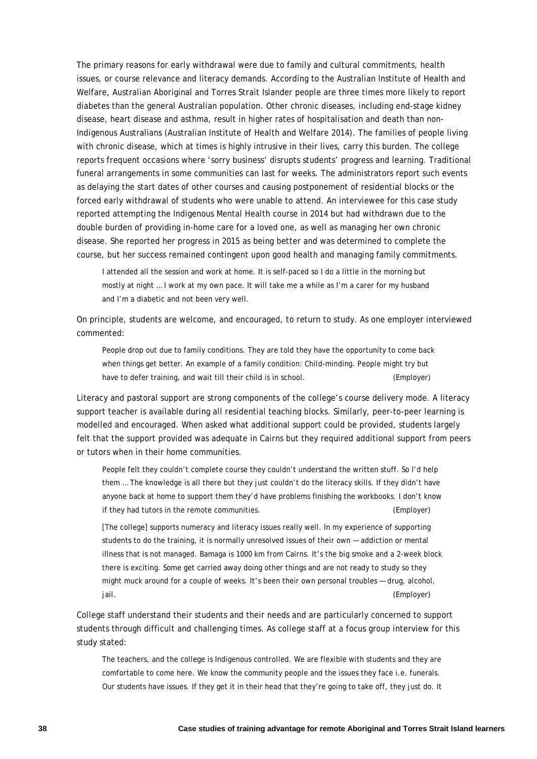The primary reasons for early withdrawal were due to family and cultural commitments, health issues, or course relevance and literacy demands. According to the Australian Institute of Health and Welfare, Australian Aboriginal and Torres Strait Islander people are three times more likely to report diabetes than the general Australian population. Other chronic diseases, including end-stage kidney disease, heart disease and asthma, result in higher rates of hospitalisation and death than non-Indigenous Australians (Australian Institute of Health and Welfare 2014). The families of people living with chronic disease, which at times is highly intrusive in their lives, carry this burden. The college reports frequent occasions where 'sorry business' disrupts students' progress and learning. Traditional funeral arrangements in some communities can last for weeks. The administrators report such events as delaying the start dates of other courses and causing postponement of residential blocks or the forced early withdrawal of students who were unable to attend. An interviewee for this case study reported attempting the Indigenous Mental Health course in 2014 but had withdrawn due to the double burden of providing in-home care for a loved one, as well as managing her own chronic disease. She reported her progress in 2015 as being better and was determined to complete the course, but her success remained contingent upon good health and managing family commitments.

I attended all the session and work at home. It is self-paced so I do a little in the morning but mostly at night … I work at my own pace. It will take me a while as I'm a carer for my husband and I'm a diabetic and not been very well.

On principle, students are welcome, and encouraged, to return to study. As one employer interviewed commented:

People drop out due to family conditions. They are told they have the opportunity to come back when things get better. An example of a family condition: Child-minding. People might try but have to defer training, and wait till their child is in school. (Employer)

Literacy and pastoral support are strong components of the college's course delivery mode. A literacy support teacher is available during all residential teaching blocks. Similarly, peer-to-peer learning is modelled and encouraged. When asked what additional support could be provided, students largely felt that the support provided was adequate in Cairns but they required additional support from peers or tutors when in their home communities.

People felt they couldn't complete course they couldn't understand the written stuff. So I'd help them … The knowledge is all there but they just couldn't do the literacy skills. If they didn't have anyone back at home to support them they'd have problems finishing the workbooks. I don't know if they had tutors in the remote communities. (Employer)

[The college] supports numeracy and literacy issues really well. In my experience of supporting students to do the training, it is normally unresolved issues of their own — addiction or mental illness that is not managed. Bamaga is 1000 km from Cairns. It's the big smoke and a 2-week block there is exciting. Some get carried away doing other things and are not ready to study so they might muck around for a couple of weeks. It's been their own personal troubles — drug, alcohol, jail. (Employer)

College staff understand their students and their needs and are particularly concerned to support students through difficult and challenging times. As college staff at a focus group interview for this study stated:

The teachers, and the college is Indigenous controlled. We are flexible with students and they are comfortable to come here. We know the community people and the issues they face i.e. funerals. Our students have issues. If they get it in their head that they're going to take off, they just do. It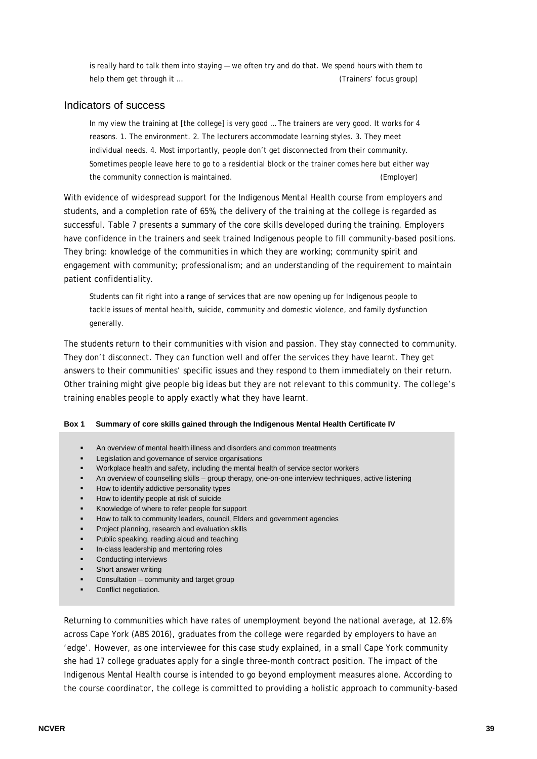is really hard to talk them into staying — we often try and do that. We spend hours with them to help them get through it … (Trainers' focus group)

#### Indicators of success

In my view the training at [the college] is very good ... The trainers are very good. It works for 4 reasons. 1. The environment. 2. The lecturers accommodate learning styles. 3. They meet individual needs. 4. Most importantly, people don't get disconnected from their community. Sometimes people leave here to go to a residential block or the trainer comes here but either way the community connection is maintained. (Employer)

With evidence of widespread support for the Indigenous Mental Health course from employers and students, and a completion rate of 65%, the delivery of the training at the college is regarded as successful. Table 7 presents a summary of the core skills developed during the training. Employers have confidence in the trainers and seek trained Indigenous people to fill community-based positions. They bring: knowledge of the communities in which they are working; community spirit and engagement with community; professionalism; and an understanding of the requirement to maintain patient confidentiality.

Students can fit right into a range of services that are now opening up for Indigenous people to tackle issues of mental health, suicide, community and domestic violence, and family dysfunction generally.

The students return to their communities with vision and passion. They stay connected to community. They don't disconnect. They can function well and offer the services they have learnt. They get answers to their communities' specific issues and they respond to them immediately on their return. Other training might give people big ideas but they are not relevant to this community. The college's training enables people to apply exactly what they have learnt.

#### **Box 1 Summary of core skills gained through the Indigenous Mental Health Certificate IV**

- An overview of mental health illness and disorders and common treatments
- Legislation and governance of service organisations
- Workplace health and safety, including the mental health of service sector workers
- An overview of counselling skills group therapy, one-on-one interview techniques, active listening
- How to identify addictive personality types
- How to identify people at risk of suicide
- Knowledge of where to refer people for support
- How to talk to community leaders, council, Elders and government agencies
- Project planning, research and evaluation skills
- Public speaking, reading aloud and teaching
- In-class leadership and mentoring roles
- Conducting interviews
- Short answer writing
- Consultation community and target group
- **•** Conflict negotiation.

Returning to communities which have rates of unemployment beyond the national average, at 12.6% across Cape York (ABS 2016), graduates from the college were regarded by employers to have an 'edge'. However, as one interviewee for this case study explained, in a small Cape York community she had 17 college graduates apply for a single three-month contract position. The impact of the Indigenous Mental Health course is intended to go beyond employment measures alone. According to the course coordinator, the college is committed to providing a holistic approach to community-based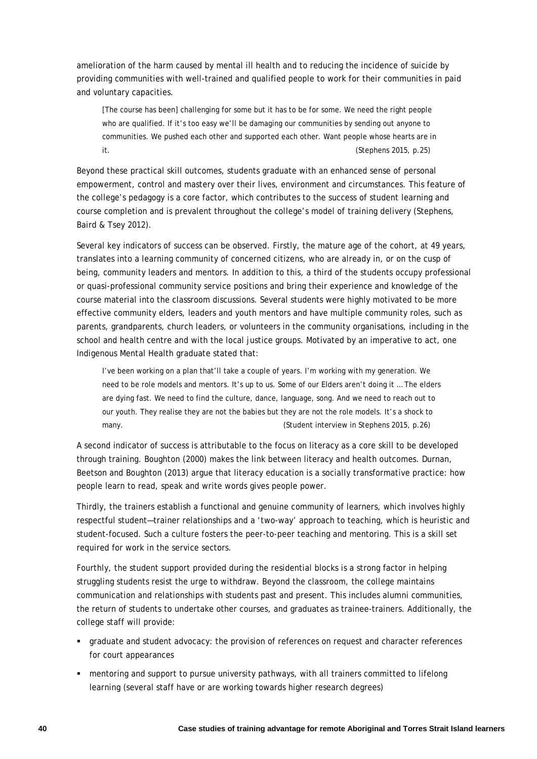amelioration of the harm caused by mental ill health and to reducing the incidence of suicide by providing communities with well-trained and qualified people to work for their communities in paid and voluntary capacities.

[The course has been] challenging for some but it has to be for some. We need the right people who are qualified. If it's too easy we'll be damaging our communities by sending out anyone to communities. We pushed each other and supported each other. Want people whose hearts are in it. (Stephens 2015, p.25)

Beyond these practical skill outcomes, students graduate with an enhanced sense of personal empowerment, control and mastery over their lives, environment and circumstances. This feature of the college's pedagogy is a core factor, which contributes to the success of student learning and course completion and is prevalent throughout the college's model of training delivery (Stephens, Baird & Tsey 2012).

Several key indicators of success can be observed. Firstly, the mature age of the cohort, at 49 years, translates into a learning community of concerned citizens, who are already in, or on the cusp of being, community leaders and mentors. In addition to this, a third of the students occupy professional or quasi-professional community service positions and bring their experience and knowledge of the course material into the classroom discussions. Several students were highly motivated to be more effective community elders, leaders and youth mentors and have multiple community roles, such as parents, grandparents, church leaders, or volunteers in the community organisations, including in the school and health centre and with the local justice groups. Motivated by an imperative to act, one Indigenous Mental Health graduate stated that:

I've been working on a plan that'll take a couple of years. I'm working with my generation. We need to be role models and mentors. It's up to us. Some of our Elders aren't doing it … The elders are dying fast. We need to find the culture, dance, language, song. And we need to reach out to our youth. They realise they are not the babies but they are not the role models. It's a shock to many. (Student interview in Stephens 2015, p.26)

A second indicator of success is attributable to the focus on literacy as a core skill to be developed through training. Boughton (2000) makes the link between literacy and health outcomes. Durnan, Beetson and Boughton (2013) argue that literacy education is a socially transformative practice: how people learn to read, speak and write words gives people power.

Thirdly, the trainers establish a functional and genuine community of learners, which involves highly respectful student—trainer relationships and a 'two-way' approach to teaching, which is heuristic and student-focused. Such a culture fosters the peer-to-peer teaching and mentoring. This is a skill set required for work in the service sectors.

Fourthly, the student support provided during the residential blocks is a strong factor in helping struggling students resist the urge to withdraw. Beyond the classroom, the college maintains communication and relationships with students past and present. This includes alumni communities, the return of students to undertake other courses, and graduates as trainee-trainers. Additionally, the college staff will provide:

- graduate and student advocacy: the provision of references on request and character references for court appearances
- mentoring and support to pursue university pathways, with all trainers committed to lifelong learning (several staff have or are working towards higher research degrees)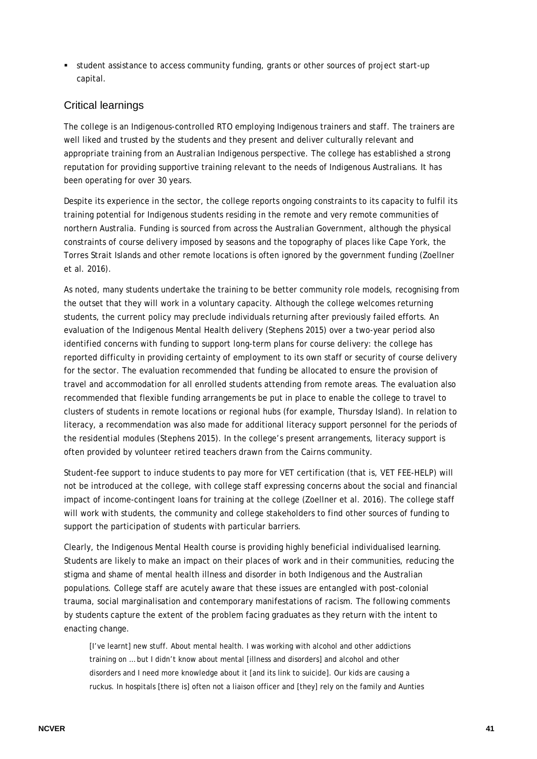student assistance to access community funding, grants or other sources of project start-up capital.

### Critical learnings

The college is an Indigenous-controlled RTO employing Indigenous trainers and staff. The trainers are well liked and trusted by the students and they present and deliver culturally relevant and appropriate training from an Australian Indigenous perspective. The college has established a strong reputation for providing supportive training relevant to the needs of Indigenous Australians. It has been operating for over 30 years.

Despite its experience in the sector, the college reports ongoing constraints to its capacity to fulfil its training potential for Indigenous students residing in the remote and very remote communities of northern Australia. Funding is sourced from across the Australian Government, although the physical constraints of course delivery imposed by seasons and the topography of places like Cape York, the Torres Strait Islands and other remote locations is often ignored by the government funding (Zoellner et al. 2016).

As noted, many students undertake the training to be better community role models, recognising from the outset that they will work in a voluntary capacity. Although the college welcomes returning students, the current policy may preclude individuals returning after previously failed efforts. An evaluation of the Indigenous Mental Health delivery (Stephens 2015) over a two-year period also identified concerns with funding to support long-term plans for course delivery: the college has reported difficulty in providing certainty of employment to its own staff or security of course delivery for the sector. The evaluation recommended that funding be allocated to ensure the provision of travel and accommodation for all enrolled students attending from remote areas. The evaluation also recommended that flexible funding arrangements be put in place to enable the college to travel to clusters of students in remote locations or regional hubs (for example, Thursday Island). In relation to literacy, a recommendation was also made for additional literacy support personnel for the periods of the residential modules (Stephens 2015). In the college's present arrangements, literacy support is often provided by volunteer retired teachers drawn from the Cairns community.

Student-fee support to induce students to pay more for VET certification (that is, VET FEE-HELP) will not be introduced at the college, with college staff expressing concerns about the social and financial impact of income-contingent loans for training at the college (Zoellner et al. 2016). The college staff will work with students, the community and college stakeholders to find other sources of funding to support the participation of students with particular barriers.

Clearly, the Indigenous Mental Health course is providing highly beneficial individualised learning. Students are likely to make an impact on their places of work and in their communities, reducing the stigma and shame of mental health illness and disorder in both Indigenous and the Australian populations. College staff are acutely aware that these issues are entangled with post-colonial trauma, social marginalisation and contemporary manifestations of racism. The following comments by students capture the extent of the problem facing graduates as they return with the intent to enacting change.

[I've learnt] new stuff. About mental health. I was working with alcohol and other addictions training on … but I didn't know about mental [illness and disorders] and alcohol and other disorders and I need more knowledge about it [and its link to suicide]. Our kids are causing a ruckus. In hospitals [there is] often not a liaison officer and [they] rely on the family and Aunties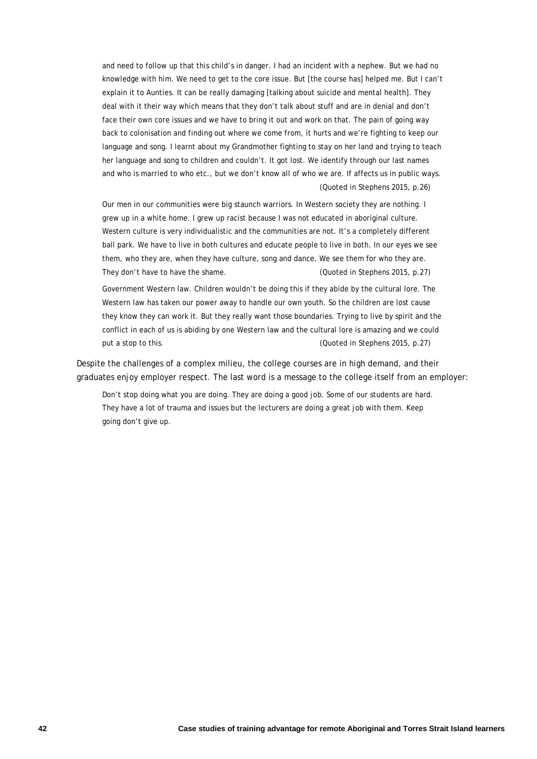and need to follow up that this child's in danger. I had an incident with a nephew. But we had no knowledge with him. We need to get to the core issue. But [the course has] helped me. But I can't explain it to Aunties. It can be really damaging [talking about suicide and mental health]. They deal with it their way which means that they don't talk about stuff and are in denial and don't face their own core issues and we have to bring it out and work on that. The pain of going way back to colonisation and finding out where we come from, it hurts and we're fighting to keep our language and song. I learnt about my Grandmother fighting to stay on her land and trying to teach her language and song to children and couldn't. It got lost. We identify through our last names and who is married to who etc., but we don't know all of who we are. If affects us in public ways. (Quoted in Stephens 2015, p.26)

Our men in our communities were big staunch warriors. In Western society they are nothing. I grew up in a white home. I grew up racist because I was not educated in aboriginal culture. Western culture is very individualistic and the communities are not. It's a completely different ball park. We have to live in both cultures and educate people to live in both. In our eyes we see them, who they are, when they have culture, song and dance. We see them for who they are. They don't have to have the shame. (Quoted in Stephens 2015, p.27)

Government Western law. Children wouldn't be doing this if they abide by the cultural lore. The Western law has taken our power away to handle our own youth. So the children are lost cause they know they can work it. But they really want those boundaries. Trying to live by spirit and the conflict in each of us is abiding by one Western law and the cultural lore is amazing and we could put a stop to this. (Quoted in Stephens 2015, p.27)

Despite the challenges of a complex milieu, the college courses are in high demand, and their graduates enjoy employer respect. The last word is a message to the college itself from an employer:

Don't stop doing what you are doing. They are doing a good job. Some of our students are hard. They have a lot of trauma and issues but the lecturers are doing a great job with them. Keep going don't give up.